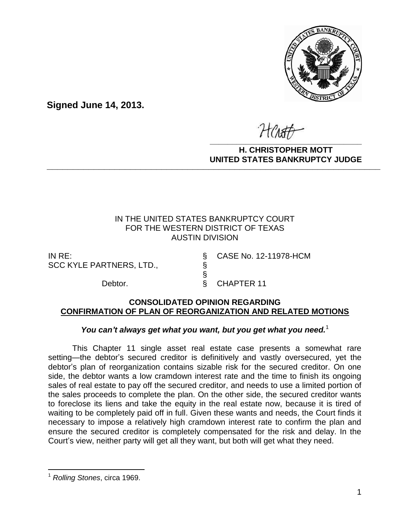

**Signed June 14, 2013.**

**\_\_\_\_\_\_\_\_\_\_\_\_\_\_\_\_\_\_\_\_\_\_\_\_\_\_\_\_\_\_\_\_\_\_**

**H. CHRISTOPHER MOTT UNITED STATES BANKRUPTCY JUDGE PATTED DRIVING TOT 00DCL** 

## IN THE UNITED STATES BANKRUPTCY COURT FOR THE WESTERN DISTRICT OF TEXAS AUSTIN DIVISION

IN RE: § CASE No. 12-11978-HCM SCC KYLE PARTNERS, LTD., §

Debtor. <br>
§ CHAPTER 11

#### **CONSOLIDATED OPINION REGARDING CONFIRMATION OF PLAN OF REORGANIZATION AND RELATED MOTIONS**

§

### You can't always get what you want, but you get what you need.<sup>1</sup>

This Chapter 11 single asset real estate case presents a somewhat rare setting—the debtor's secured creditor is definitively and vastly oversecured, yet the debtor's plan of reorganization contains sizable risk for the secured creditor. On one side, the debtor wants a low cramdown interest rate and the time to finish its ongoing sales of real estate to pay off the secured creditor, and needs to use a limited portion of the sales proceeds to complete the plan. On the other side, the secured creditor wants to foreclose its liens and take the equity in the real estate now, because it is tired of waiting to be completely paid off in full. Given these wants and needs, the Court finds it necessary to impose a relatively high cramdown interest rate to confirm the plan and ensure the secured creditor is completely compensated for the risk and delay. In the Court's view, neither party will get all they want, but both will get what they need.

 $\overline{a}$ 

<sup>1</sup> *Rolling Stones*, circa 1969.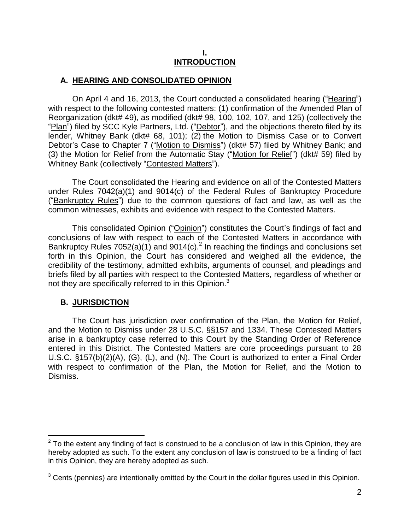#### **I. INTRODUCTION**

## **A. HEARING AND CONSOLIDATED OPINION**

On April 4 and 16, 2013, the Court conducted a consolidated hearing ("Hearing") with respect to the following contested matters: (1) confirmation of the Amended Plan of Reorganization (dkt# 49), as modified (dkt# 98, 100, 102, 107, and 125) (collectively the "Plan") filed by SCC Kyle Partners, Ltd. ("Debtor"), and the objections thereto filed by its lender, Whitney Bank (dkt# 68, 101); (2) the Motion to Dismiss Case or to Convert Debtor's Case to Chapter 7 ("Motion to Dismiss") (dkt# 57) filed by Whitney Bank; and (3) the Motion for Relief from the Automatic Stay ("Motion for Relief") (dkt# 59) filed by Whitney Bank (collectively "Contested Matters").

The Court consolidated the Hearing and evidence on all of the Contested Matters under Rules 7042(a)(1) and 9014(c) of the Federal Rules of Bankruptcy Procedure ("Bankruptcy Rules") due to the common questions of fact and law, as well as the common witnesses, exhibits and evidence with respect to the Contested Matters.

This consolidated Opinion ("Opinion") constitutes the Court's findings of fact and conclusions of law with respect to each of the Contested Matters in accordance with Bankruptcy Rules  $7052(a)(1)$  and  $9014(c).<sup>2</sup>$  In reaching the findings and conclusions set forth in this Opinion, the Court has considered and weighed all the evidence, the credibility of the testimony, admitted exhibits, arguments of counsel, and pleadings and briefs filed by all parties with respect to the Contested Matters, regardless of whether or not they are specifically referred to in this Opinion.<sup>3</sup>

### **B. JURISDICTION**

 $\overline{a}$ 

The Court has jurisdiction over confirmation of the Plan, the Motion for Relief, and the Motion to Dismiss under 28 U.S.C. §§157 and 1334. These Contested Matters arise in a bankruptcy case referred to this Court by the Standing Order of Reference entered in this District. The Contested Matters are core proceedings pursuant to 28 U.S.C. §157(b)(2)(A), (G), (L), and (N). The Court is authorized to enter a Final Order with respect to confirmation of the Plan, the Motion for Relief, and the Motion to Dismiss.

 $2$  To the extent any finding of fact is construed to be a conclusion of law in this Opinion, they are hereby adopted as such. To the extent any conclusion of law is construed to be a finding of fact in this Opinion, they are hereby adopted as such.

 $3$  Cents (pennies) are intentionally omitted by the Court in the dollar figures used in this Opinion.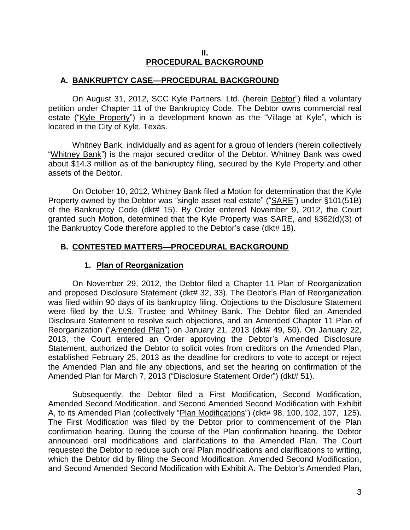#### **II. PROCEDURAL BACKGROUND**

#### **A. BANKRUPTCY CASE—PROCEDURAL BACKGROUND**

On August 31, 2012, SCC Kyle Partners, Ltd. (herein Debtor") filed a voluntary petition under Chapter 11 of the Bankruptcy Code. The Debtor owns commercial real estate ("Kyle Property") in a development known as the "Village at Kyle", which is located in the City of Kyle, Texas.

Whitney Bank, individually and as agent for a group of lenders (herein collectively "Whitney Bank") is the major secured creditor of the Debtor. Whitney Bank was owed about \$14.3 million as of the bankruptcy filing, secured by the Kyle Property and other assets of the Debtor.

On October 10, 2012, Whitney Bank filed a Motion for determination that the Kyle Property owned by the Debtor was "single asset real estate" ("SARE") under §101(51B) of the Bankruptcy Code (dkt# 15). By Order entered November 9, 2012, the Court granted such Motion, determined that the Kyle Property was SARE, and §362(d)(3) of the Bankruptcy Code therefore applied to the Debtor's case (dkt# 18).

### **B. CONTESTED MATTERS—PROCEDURAL BACKGROUND**

### **1. Plan of Reorganization**

On November 29, 2012, the Debtor filed a Chapter 11 Plan of Reorganization and proposed Disclosure Statement (dkt# 32, 33). The Debtor's Plan of Reorganization was filed within 90 days of its bankruptcy filing. Objections to the Disclosure Statement were filed by the U.S. Trustee and Whitney Bank. The Debtor filed an Amended Disclosure Statement to resolve such objections, and an Amended Chapter 11 Plan of Reorganization ("Amended Plan") on January 21, 2013 (dkt# 49, 50). On January 22, 2013, the Court entered an Order approving the Debtor's Amended Disclosure Statement, authorized the Debtor to solicit votes from creditors on the Amended Plan, established February 25, 2013 as the deadline for creditors to vote to accept or reject the Amended Plan and file any objections, and set the hearing on confirmation of the Amended Plan for March 7, 2013 ("Disclosure Statement Order") (dkt# 51).

Subsequently, the Debtor filed a First Modification, Second Modification, Amended Second Modification, and Second Amended Second Modification with Exhibit A, to its Amended Plan (collectively "Plan Modifications") (dkt# 98, 100, 102, 107, 125). The First Modification was filed by the Debtor prior to commencement of the Plan confirmation hearing. During the course of the Plan confirmation hearing, the Debtor announced oral modifications and clarifications to the Amended Plan. The Court requested the Debtor to reduce such oral Plan modifications and clarifications to writing, which the Debtor did by filing the Second Modification, Amended Second Modification, and Second Amended Second Modification with Exhibit A. The Debtor's Amended Plan,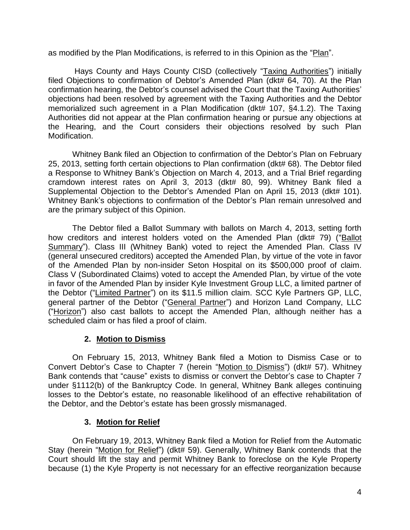as modified by the Plan Modifications, is referred to in this Opinion as the "Plan".

Hays County and Hays County CISD (collectively "Taxing Authorities") initially filed Objections to confirmation of Debtor's Amended Plan (dkt# 64, 70). At the Plan confirmation hearing, the Debtor's counsel advised the Court that the Taxing Authorities' objections had been resolved by agreement with the Taxing Authorities and the Debtor memorialized such agreement in a Plan Modification (dkt# 107, §4.1.2). The Taxing Authorities did not appear at the Plan confirmation hearing or pursue any objections at the Hearing, and the Court considers their objections resolved by such Plan Modification.

Whitney Bank filed an Objection to confirmation of the Debtor's Plan on February 25, 2013, setting forth certain objections to Plan confirmation (dkt# 68). The Debtor filed a Response to Whitney Bank's Objection on March 4, 2013, and a Trial Brief regarding cramdown interest rates on April 3, 2013 (dkt# 80, 99). Whitney Bank filed a Supplemental Objection to the Debtor's Amended Plan on April 15, 2013 (dkt# 101). Whitney Bank's objections to confirmation of the Debtor's Plan remain unresolved and are the primary subject of this Opinion.

The Debtor filed a Ballot Summary with ballots on March 4, 2013, setting forth how creditors and interest holders voted on the Amended Plan (dkt# 79) ("Ballot Summary"). Class III (Whitney Bank) voted to reject the Amended Plan. Class IV (general unsecured creditors) accepted the Amended Plan, by virtue of the vote in favor of the Amended Plan by non-insider Seton Hospital on its \$500,000 proof of claim. Class V (Subordinated Claims) voted to accept the Amended Plan, by virtue of the vote in favor of the Amended Plan by insider Kyle Investment Group LLC, a limited partner of the Debtor ("Limited Partner") on its \$11.5 million claim. SCC Kyle Partners GP, LLC, general partner of the Debtor ("General Partner") and Horizon Land Company, LLC ("Horizon") also cast ballots to accept the Amended Plan, although neither has a scheduled claim or has filed a proof of claim.

# **2. Motion to Dismiss**

On February 15, 2013, Whitney Bank filed a Motion to Dismiss Case or to Convert Debtor's Case to Chapter 7 (herein "Motion to Dismiss") (dkt# 57). Whitney Bank contends that "cause" exists to dismiss or convert the Debtor's case to Chapter 7 under §1112(b) of the Bankruptcy Code. In general, Whitney Bank alleges continuing losses to the Debtor's estate, no reasonable likelihood of an effective rehabilitation of the Debtor, and the Debtor's estate has been grossly mismanaged.

# **3. Motion for Relief**

On February 19, 2013, Whitney Bank filed a Motion for Relief from the Automatic Stay (herein "Motion for Relief") (dkt# 59). Generally, Whitney Bank contends that the Court should lift the stay and permit Whitney Bank to foreclose on the Kyle Property because (1) the Kyle Property is not necessary for an effective reorganization because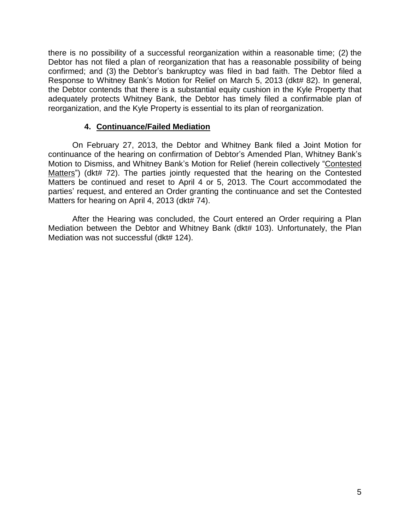there is no possibility of a successful reorganization within a reasonable time; (2) the Debtor has not filed a plan of reorganization that has a reasonable possibility of being confirmed; and (3) the Debtor's bankruptcy was filed in bad faith. The Debtor filed a Response to Whitney Bank's Motion for Relief on March 5, 2013 (dkt# 82). In general, the Debtor contends that there is a substantial equity cushion in the Kyle Property that adequately protects Whitney Bank, the Debtor has timely filed a confirmable plan of reorganization, and the Kyle Property is essential to its plan of reorganization.

# **4. Continuance/Failed Mediation**

On February 27, 2013, the Debtor and Whitney Bank filed a Joint Motion for continuance of the hearing on confirmation of Debtor's Amended Plan, Whitney Bank's Motion to Dismiss, and Whitney Bank's Motion for Relief (herein collectively "Contested Matters") (dkt# 72). The parties jointly requested that the hearing on the Contested Matters be continued and reset to April 4 or 5, 2013. The Court accommodated the parties' request, and entered an Order granting the continuance and set the Contested Matters for hearing on April 4, 2013 (dkt# 74).

After the Hearing was concluded, the Court entered an Order requiring a Plan Mediation between the Debtor and Whitney Bank (dkt# 103). Unfortunately, the Plan Mediation was not successful (dkt# 124).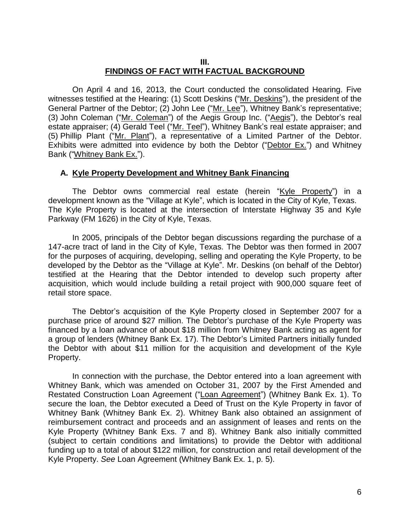#### **III. FINDINGS OF FACT WITH FACTUAL BACKGROUND**

On April 4 and 16, 2013, the Court conducted the consolidated Hearing. Five witnesses testified at the Hearing: (1) Scott Deskins ("Mr. Deskins"), the president of the General Partner of the Debtor; (2) John Lee ("Mr. Lee"), Whitney Bank's representative; (3) John Coleman ("Mr. Coleman") of the Aegis Group Inc. ("Aegis"), the Debtor's real estate appraiser; (4) Gerald Teel ("Mr. Teel"), Whitney Bank's real estate appraiser; and (5) Phillip Plant ("Mr. Plant"), a representative of a Limited Partner of the Debtor. Exhibits were admitted into evidence by both the Debtor ("Debtor Ex.") and Whitney Bank ("Whitney Bank Ex.").

#### **A. Kyle Property Development and Whitney Bank Financing**

The Debtor owns commercial real estate (herein "Kyle Property") in a development known as the "Village at Kyle", which is located in the City of Kyle, Texas. The Kyle Property is located at the intersection of Interstate Highway 35 and Kyle Parkway (FM 1626) in the City of Kyle, Texas.

In 2005, principals of the Debtor began discussions regarding the purchase of a 147-acre tract of land in the City of Kyle, Texas. The Debtor was then formed in 2007 for the purposes of acquiring, developing, selling and operating the Kyle Property, to be developed by the Debtor as the "Village at Kyle". Mr. Deskins (on behalf of the Debtor) testified at the Hearing that the Debtor intended to develop such property after acquisition, which would include building a retail project with 900,000 square feet of retail store space.

The Debtor's acquisition of the Kyle Property closed in September 2007 for a purchase price of around \$27 million. The Debtor's purchase of the Kyle Property was financed by a loan advance of about \$18 million from Whitney Bank acting as agent for a group of lenders (Whitney Bank Ex. 17). The Debtor's Limited Partners initially funded the Debtor with about \$11 million for the acquisition and development of the Kyle Property.

In connection with the purchase, the Debtor entered into a loan agreement with Whitney Bank, which was amended on October 31, 2007 by the First Amended and Restated Construction Loan Agreement ("Loan Agreement") (Whitney Bank Ex. 1). To secure the loan, the Debtor executed a Deed of Trust on the Kyle Property in favor of Whitney Bank (Whitney Bank Ex. 2). Whitney Bank also obtained an assignment of reimbursement contract and proceeds and an assignment of leases and rents on the Kyle Property (Whitney Bank Exs. 7 and 8). Whitney Bank also initially committed (subject to certain conditions and limitations) to provide the Debtor with additional funding up to a total of about \$122 million, for construction and retail development of the Kyle Property. *See* Loan Agreement (Whitney Bank Ex. 1, p. 5).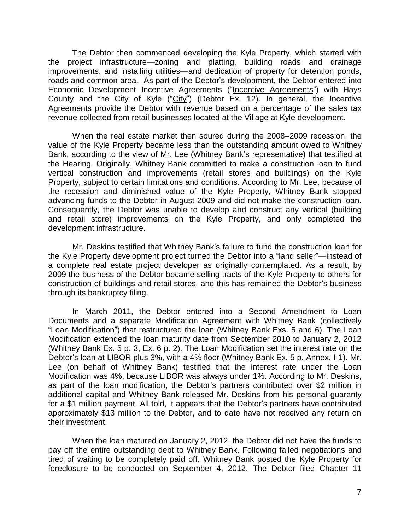The Debtor then commenced developing the Kyle Property, which started with the project infrastructure—zoning and platting, building roads and drainage improvements, and installing utilities—and dedication of property for detention ponds, roads and common area. As part of the Debtor's development, the Debtor entered into Economic Development Incentive Agreements ("Incentive Agreements") with Hays County and the City of Kyle ("City") (Debtor Ex. 12). In general, the Incentive Agreements provide the Debtor with revenue based on a percentage of the sales tax revenue collected from retail businesses located at the Village at Kyle development.

When the real estate market then soured during the 2008–2009 recession, the value of the Kyle Property became less than the outstanding amount owed to Whitney Bank, according to the view of Mr. Lee (Whitney Bank's representative) that testified at the Hearing. Originally, Whitney Bank committed to make a construction loan to fund vertical construction and improvements (retail stores and buildings) on the Kyle Property, subject to certain limitations and conditions. According to Mr. Lee, because of the recession and diminished value of the Kyle Property, Whitney Bank stopped advancing funds to the Debtor in August 2009 and did not make the construction loan. Consequently, the Debtor was unable to develop and construct any vertical (building and retail store) improvements on the Kyle Property, and only completed the development infrastructure.

Mr. Deskins testified that Whitney Bank's failure to fund the construction loan for the Kyle Property development project turned the Debtor into a "land seller"—instead of a complete real estate project developer as originally contemplated. As a result, by 2009 the business of the Debtor became selling tracts of the Kyle Property to others for construction of buildings and retail stores, and this has remained the Debtor's business through its bankruptcy filing.

In March 2011, the Debtor entered into a Second Amendment to Loan Documents and a separate Modification Agreement with Whitney Bank (collectively "Loan Modification") that restructured the loan (Whitney Bank Exs. 5 and 6). The Loan Modification extended the loan maturity date from September 2010 to January 2, 2012 (Whitney Bank Ex. 5 p. 3, Ex. 6 p. 2). The Loan Modification set the interest rate on the Debtor's loan at LIBOR plus 3%, with a 4% floor (Whitney Bank Ex. 5 p. Annex. I-1). Mr. Lee (on behalf of Whitney Bank) testified that the interest rate under the Loan Modification was 4%, because LIBOR was always under 1%. According to Mr. Deskins, as part of the loan modification, the Debtor's partners contributed over \$2 million in additional capital and Whitney Bank released Mr. Deskins from his personal guaranty for a \$1 million payment. All told, it appears that the Debtor's partners have contributed approximately \$13 million to the Debtor, and to date have not received any return on their investment.

When the loan matured on January 2, 2012, the Debtor did not have the funds to pay off the entire outstanding debt to Whitney Bank. Following failed negotiations and tired of waiting to be completely paid off, Whitney Bank posted the Kyle Property for foreclosure to be conducted on September 4, 2012. The Debtor filed Chapter 11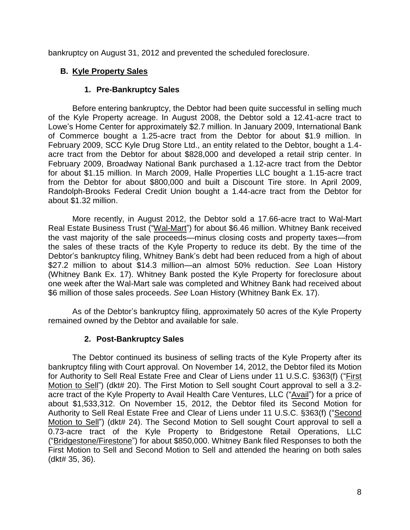bankruptcy on August 31, 2012 and prevented the scheduled foreclosure.

# **B. Kyle Property Sales**

# **1. Pre-Bankruptcy Sales**

Before entering bankruptcy, the Debtor had been quite successful in selling much of the Kyle Property acreage. In August 2008, the Debtor sold a 12.41-acre tract to Lowe's Home Center for approximately \$2.7 million. In January 2009, International Bank of Commerce bought a 1.25-acre tract from the Debtor for about \$1.9 million. In February 2009, SCC Kyle Drug Store Ltd., an entity related to the Debtor, bought a 1.4 acre tract from the Debtor for about \$828,000 and developed a retail strip center. In February 2009, Broadway National Bank purchased a 1.12-acre tract from the Debtor for about \$1.15 million. In March 2009, Halle Properties LLC bought a 1.15-acre tract from the Debtor for about \$800,000 and built a Discount Tire store. In April 2009, Randolph-Brooks Federal Credit Union bought a 1.44-acre tract from the Debtor for about \$1.32 million.

More recently, in August 2012, the Debtor sold a 17.66-acre tract to Wal-Mart Real Estate Business Trust ("Wal-Mart") for about \$6.46 million. Whitney Bank received the vast majority of the sale proceeds—minus closing costs and property taxes—from the sales of these tracts of the Kyle Property to reduce its debt. By the time of the Debtor's bankruptcy filing, Whitney Bank's debt had been reduced from a high of about \$27.2 million to about \$14.3 million—an almost 50% reduction. *See* Loan History (Whitney Bank Ex. 17). Whitney Bank posted the Kyle Property for foreclosure about one week after the Wal-Mart sale was completed and Whitney Bank had received about \$6 million of those sales proceeds. *See* Loan History (Whitney Bank Ex. 17).

As of the Debtor's bankruptcy filing, approximately 50 acres of the Kyle Property remained owned by the Debtor and available for sale.

# **2. Post-Bankruptcy Sales**

The Debtor continued its business of selling tracts of the Kyle Property after its bankruptcy filing with Court approval. On November 14, 2012, the Debtor filed its Motion for Authority to Sell Real Estate Free and Clear of Liens under 11 U.S.C. §363(f) ("First Motion to Sell") (dkt# 20). The First Motion to Sell sought Court approval to sell a 3.2acre tract of the Kyle Property to Avail Health Care Ventures, LLC ("Avail") for a price of about \$1,533,312. On November 15, 2012, the Debtor filed its Second Motion for Authority to Sell Real Estate Free and Clear of Liens under 11 U.S.C. §363(f) ("Second Motion to Sell") (dkt# 24). The Second Motion to Sell sought Court approval to sell a 0.73-acre tract of the Kyle Property to Bridgestone Retail Operations, LLC ("Bridgestone/Firestone") for about \$850,000. Whitney Bank filed Responses to both the First Motion to Sell and Second Motion to Sell and attended the hearing on both sales (dkt# 35, 36).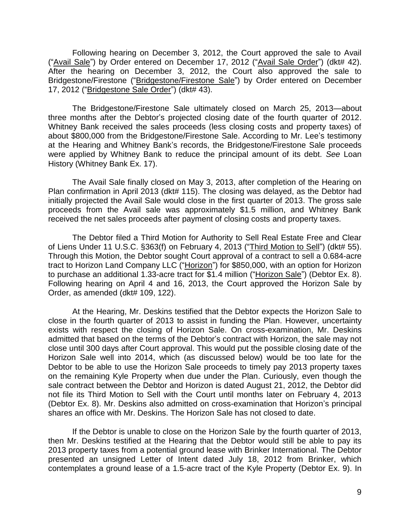Following hearing on December 3, 2012, the Court approved the sale to Avail ("Avail Sale") by Order entered on December 17, 2012 ("Avail Sale Order") (dkt# 42). After the hearing on December 3, 2012, the Court also approved the sale to Bridgestone/Firestone ("Bridgestone/Firestone Sale") by Order entered on December 17, 2012 ("Bridgestone Sale Order") (dkt# 43).

The Bridgestone/Firestone Sale ultimately closed on March 25, 2013—about three months after the Debtor's projected closing date of the fourth quarter of 2012. Whitney Bank received the sales proceeds (less closing costs and property taxes) of about \$800,000 from the Bridgestone/Firestone Sale. According to Mr. Lee's testimony at the Hearing and Whitney Bank's records, the Bridgestone/Firestone Sale proceeds were applied by Whitney Bank to reduce the principal amount of its debt. *See* Loan History (Whitney Bank Ex. 17).

The Avail Sale finally closed on May 3, 2013, after completion of the Hearing on Plan confirmation in April 2013 (dkt# 115). The closing was delayed, as the Debtor had initially projected the Avail Sale would close in the first quarter of 2013. The gross sale proceeds from the Avail sale was approximately \$1.5 million, and Whitney Bank received the net sales proceeds after payment of closing costs and property taxes.

The Debtor filed a Third Motion for Authority to Sell Real Estate Free and Clear of Liens Under 11 U.S.C. §363(f) on February 4, 2013 ("Third Motion to Sell") (dkt# 55). Through this Motion, the Debtor sought Court approval of a contract to sell a 0.684-acre tract to Horizon Land Company LLC ("Horizon") for \$850,000, with an option for Horizon to purchase an additional 1.33-acre tract for \$1.4 million ("Horizon Sale") (Debtor Ex. 8). Following hearing on April 4 and 16, 2013, the Court approved the Horizon Sale by Order, as amended (dkt# 109, 122).

At the Hearing, Mr. Deskins testified that the Debtor expects the Horizon Sale to close in the fourth quarter of 2013 to assist in funding the Plan. However, uncertainty exists with respect the closing of Horizon Sale. On cross-examination, Mr. Deskins admitted that based on the terms of the Debtor's contract with Horizon, the sale may not close until 300 days after Court approval. This would put the possible closing date of the Horizon Sale well into 2014, which (as discussed below) would be too late for the Debtor to be able to use the Horizon Sale proceeds to timely pay 2013 property taxes on the remaining Kyle Property when due under the Plan. Curiously, even though the sale contract between the Debtor and Horizon is dated August 21, 2012, the Debtor did not file its Third Motion to Sell with the Court until months later on February 4, 2013 (Debtor Ex. 8). Mr. Deskins also admitted on cross-examination that Horizon's principal shares an office with Mr. Deskins. The Horizon Sale has not closed to date.

If the Debtor is unable to close on the Horizon Sale by the fourth quarter of 2013, then Mr. Deskins testified at the Hearing that the Debtor would still be able to pay its 2013 property taxes from a potential ground lease with Brinker International. The Debtor presented an unsigned Letter of Intent dated July 18, 2012 from Brinker, which contemplates a ground lease of a 1.5-acre tract of the Kyle Property (Debtor Ex. 9). In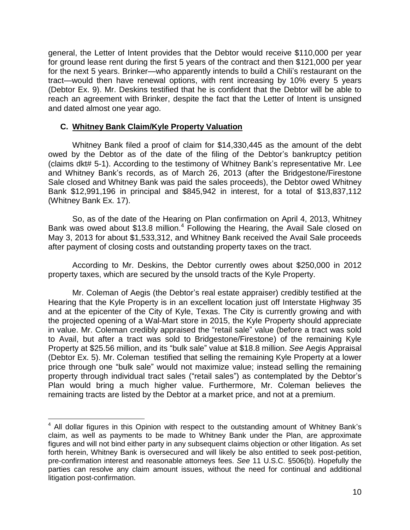general, the Letter of Intent provides that the Debtor would receive \$110,000 per year for ground lease rent during the first 5 years of the contract and then \$121,000 per year for the next 5 years. Brinker—who apparently intends to build a Chili's restaurant on the tract—would then have renewal options, with rent increasing by 10% every 5 years (Debtor Ex. 9). Mr. Deskins testified that he is confident that the Debtor will be able to reach an agreement with Brinker, despite the fact that the Letter of Intent is unsigned and dated almost one year ago.

### **C. Whitney Bank Claim/Kyle Property Valuation**

 $\overline{a}$ 

Whitney Bank filed a proof of claim for \$14,330,445 as the amount of the debt owed by the Debtor as of the date of the filing of the Debtor's bankruptcy petition (claims dkt# 5-1). According to the testimony of Whitney Bank's representative Mr. Lee and Whitney Bank's records, as of March 26, 2013 (after the Bridgestone/Firestone Sale closed and Whitney Bank was paid the sales proceeds), the Debtor owed Whitney Bank \$12,991,196 in principal and \$845,942 in interest, for a total of \$13,837,112 (Whitney Bank Ex. 17).

So, as of the date of the Hearing on Plan confirmation on April 4, 2013, Whitney Bank was owed about \$13.8 million.<sup>4</sup> Following the Hearing, the Avail Sale closed on May 3, 2013 for about \$1,533,312, and Whitney Bank received the Avail Sale proceeds after payment of closing costs and outstanding property taxes on the tract.

According to Mr. Deskins, the Debtor currently owes about \$250,000 in 2012 property taxes, which are secured by the unsold tracts of the Kyle Property.

Mr. Coleman of Aegis (the Debtor's real estate appraiser) credibly testified at the Hearing that the Kyle Property is in an excellent location just off Interstate Highway 35 and at the epicenter of the City of Kyle, Texas. The City is currently growing and with the projected opening of a Wal-Mart store in 2015, the Kyle Property should appreciate in value. Mr. Coleman credibly appraised the "retail sale" value (before a tract was sold to Avail, but after a tract was sold to Bridgestone/Firestone) of the remaining Kyle Property at \$25.56 million, and its "bulk sale" value at \$18.8 million. *See* Aegis Appraisal (Debtor Ex. 5). Mr. Coleman testified that selling the remaining Kyle Property at a lower price through one "bulk sale" would not maximize value; instead selling the remaining property through individual tract sales ("retail sales") as contemplated by the Debtor's Plan would bring a much higher value. Furthermore, Mr. Coleman believes the remaining tracts are listed by the Debtor at a market price, and not at a premium.

 $4$  All dollar figures in this Opinion with respect to the outstanding amount of Whitney Bank's claim, as well as payments to be made to Whitney Bank under the Plan, are approximate figures and will not bind either party in any subsequent claims objection or other litigation. As set forth herein, Whitney Bank is oversecured and will likely be also entitled to seek post-petition, pre-confirmation interest and reasonable attorneys fees. *See* 11 U.S.C. §506(b). Hopefully the parties can resolve any claim amount issues, without the need for continual and additional litigation post-confirmation.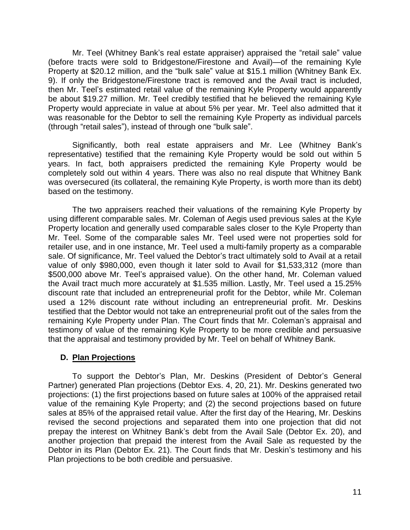Mr. Teel (Whitney Bank's real estate appraiser) appraised the "retail sale" value (before tracts were sold to Bridgestone/Firestone and Avail)—of the remaining Kyle Property at \$20.12 million, and the "bulk sale" value at \$15.1 million (Whitney Bank Ex. 9). If only the Bridgestone/Firestone tract is removed and the Avail tract is included, then Mr. Teel's estimated retail value of the remaining Kyle Property would apparently be about \$19.27 million. Mr. Teel credibly testified that he believed the remaining Kyle Property would appreciate in value at about 5% per year. Mr. Teel also admitted that it was reasonable for the Debtor to sell the remaining Kyle Property as individual parcels (through "retail sales"), instead of through one "bulk sale".

Significantly, both real estate appraisers and Mr. Lee (Whitney Bank's representative) testified that the remaining Kyle Property would be sold out within 5 years. In fact, both appraisers predicted the remaining Kyle Property would be completely sold out within 4 years. There was also no real dispute that Whitney Bank was oversecured (its collateral, the remaining Kyle Property, is worth more than its debt) based on the testimony.

The two appraisers reached their valuations of the remaining Kyle Property by using different comparable sales. Mr. Coleman of Aegis used previous sales at the Kyle Property location and generally used comparable sales closer to the Kyle Property than Mr. Teel. Some of the comparable sales Mr. Teel used were not properties sold for retailer use, and in one instance, Mr. Teel used a multi-family property as a comparable sale. Of significance, Mr. Teel valued the Debtor's tract ultimately sold to Avail at a retail value of only \$980,000, even though it later sold to Avail for \$1,533,312 (more than \$500,000 above Mr. Teel's appraised value). On the other hand, Mr. Coleman valued the Avail tract much more accurately at \$1.535 million. Lastly, Mr. Teel used a 15.25% discount rate that included an entrepreneurial profit for the Debtor, while Mr. Coleman used a 12% discount rate without including an entrepreneurial profit. Mr. Deskins testified that the Debtor would not take an entrepreneurial profit out of the sales from the remaining Kyle Property under Plan. The Court finds that Mr. Coleman's appraisal and testimony of value of the remaining Kyle Property to be more credible and persuasive that the appraisal and testimony provided by Mr. Teel on behalf of Whitney Bank.

### **D. Plan Projections**

To support the Debtor's Plan, Mr. Deskins (President of Debtor's General Partner) generated Plan projections (Debtor Exs. 4, 20, 21). Mr. Deskins generated two projections: (1) the first projections based on future sales at 100% of the appraised retail value of the remaining Kyle Property; and (2) the second projections based on future sales at 85% of the appraised retail value. After the first day of the Hearing, Mr. Deskins revised the second projections and separated them into one projection that did not prepay the interest on Whitney Bank's debt from the Avail Sale (Debtor Ex. 20), and another projection that prepaid the interest from the Avail Sale as requested by the Debtor in its Plan (Debtor Ex. 21). The Court finds that Mr. Deskin's testimony and his Plan projections to be both credible and persuasive.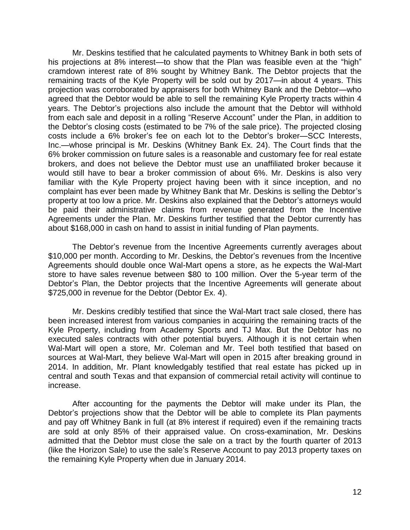Mr. Deskins testified that he calculated payments to Whitney Bank in both sets of his projections at 8% interest—to show that the Plan was feasible even at the "high" cramdown interest rate of 8% sought by Whitney Bank. The Debtor projects that the remaining tracts of the Kyle Property will be sold out by 2017—in about 4 years. This projection was corroborated by appraisers for both Whitney Bank and the Debtor—who agreed that the Debtor would be able to sell the remaining Kyle Property tracts within 4 years. The Debtor's projections also include the amount that the Debtor will withhold from each sale and deposit in a rolling "Reserve Account" under the Plan, in addition to the Debtor's closing costs (estimated to be 7% of the sale price). The projected closing costs include a 6% broker's fee on each lot to the Debtor's broker—SCC Interests, Inc.—whose principal is Mr. Deskins (Whitney Bank Ex. 24). The Court finds that the 6% broker commission on future sales is a reasonable and customary fee for real estate brokers, and does not believe the Debtor must use an unaffiliated broker because it would still have to bear a broker commission of about 6%. Mr. Deskins is also very familiar with the Kyle Property project having been with it since inception, and no complaint has ever been made by Whitney Bank that Mr. Deskins is selling the Debtor's property at too low a price. Mr. Deskins also explained that the Debtor's attorneys would be paid their administrative claims from revenue generated from the Incentive Agreements under the Plan. Mr. Deskins further testified that the Debtor currently has about \$168,000 in cash on hand to assist in initial funding of Plan payments.

The Debtor's revenue from the Incentive Agreements currently averages about \$10,000 per month. According to Mr. Deskins, the Debtor's revenues from the Incentive Agreements should double once Wal-Mart opens a store, as he expects the Wal-Mart store to have sales revenue between \$80 to 100 million. Over the 5-year term of the Debtor's Plan, the Debtor projects that the Incentive Agreements will generate about \$725,000 in revenue for the Debtor (Debtor Ex. 4).

Mr. Deskins credibly testified that since the Wal-Mart tract sale closed, there has been increased interest from various companies in acquiring the remaining tracts of the Kyle Property, including from Academy Sports and TJ Max. But the Debtor has no executed sales contracts with other potential buyers. Although it is not certain when Wal-Mart will open a store, Mr. Coleman and Mr. Teel both testified that based on sources at Wal-Mart, they believe Wal-Mart will open in 2015 after breaking ground in 2014. In addition, Mr. Plant knowledgably testified that real estate has picked up in central and south Texas and that expansion of commercial retail activity will continue to increase.

After accounting for the payments the Debtor will make under its Plan, the Debtor's projections show that the Debtor will be able to complete its Plan payments and pay off Whitney Bank in full (at 8% interest if required) even if the remaining tracts are sold at only 85% of their appraised value. On cross-examination, Mr. Deskins admitted that the Debtor must close the sale on a tract by the fourth quarter of 2013 (like the Horizon Sale) to use the sale's Reserve Account to pay 2013 property taxes on the remaining Kyle Property when due in January 2014.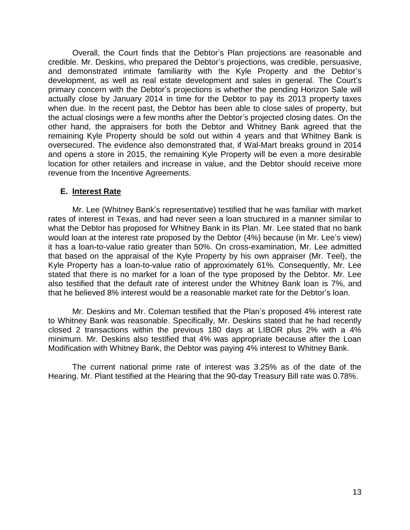Overall, the Court finds that the Debtor's Plan projections are reasonable and credible. Mr. Deskins, who prepared the Debtor's projections, was credible, persuasive, and demonstrated intimate familiarity with the Kyle Property and the Debtor's development, as well as real estate development and sales in general. The Court's primary concern with the Debtor's projections is whether the pending Horizon Sale will actually close by January 2014 in time for the Debtor to pay its 2013 property taxes when due. In the recent past, the Debtor has been able to close sales of property, but the actual closings were a few months after the Debtor's projected closing dates. On the other hand, the appraisers for both the Debtor and Whitney Bank agreed that the remaining Kyle Property should be sold out within 4 years and that Whitney Bank is oversecured. The evidence also demonstrated that, if Wal-Mart breaks ground in 2014 and opens a store in 2015, the remaining Kyle Property will be even a more desirable location for other retailers and increase in value, and the Debtor should receive more revenue from the Incentive Agreements.

### **E. Interest Rate**

Mr. Lee (Whitney Bank's representative) testified that he was familiar with market rates of interest in Texas, and had never seen a loan structured in a manner similar to what the Debtor has proposed for Whitney Bank in its Plan. Mr. Lee stated that no bank would loan at the interest rate proposed by the Debtor (4%) because (in Mr. Lee's view) it has a loan-to-value ratio greater than 50%. On cross-examination, Mr. Lee admitted that based on the appraisal of the Kyle Property by his own appraiser (Mr. Teel), the Kyle Property has a loan-to-value ratio of approximately 61%. Consequently, Mr. Lee stated that there is no market for a loan of the type proposed by the Debtor. Mr. Lee also testified that the default rate of interest under the Whitney Bank loan is 7%, and that he believed 8% interest would be a reasonable market rate for the Debtor's loan.

Mr. Deskins and Mr. Coleman testified that the Plan's proposed 4% interest rate to Whitney Bank was reasonable. Specifically, Mr. Deskins stated that he had recently closed 2 transactions within the previous 180 days at LIBOR plus 2% with a 4% minimum. Mr. Deskins also testified that 4% was appropriate because after the Loan Modification with Whitney Bank, the Debtor was paying 4% interest to Whitney Bank.

The current national prime rate of interest was 3.25% as of the date of the Hearing. Mr. Plant testified at the Hearing that the 90-day Treasury Bill rate was 0.78%.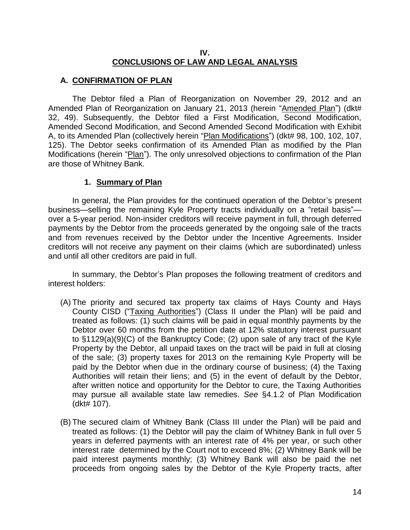### **IV. CONCLUSIONS OF LAW AND LEGAL ANALYSIS**

### **A. CONFIRMATION OF PLAN**

The Debtor filed a Plan of Reorganization on November 29, 2012 and an Amended Plan of Reorganization on January 21, 2013 (herein "Amended Plan") (dkt# 32, 49). Subsequently, the Debtor filed a First Modification, Second Modification, Amended Second Modification, and Second Amended Second Modification with Exhibit A, to its Amended Plan (collectively herein "Plan Modifications") (dkt# 98, 100, 102, 107, 125). The Debtor seeks confirmation of its Amended Plan as modified by the Plan Modifications (herein "Plan"). The only unresolved objections to confirmation of the Plan are those of Whitney Bank.

## **1. Summary of Plan**

In general, the Plan provides for the continued operation of the Debtor's present business—selling the remaining Kyle Property tracts individually on a "retail basis" over a 5-year period. Non-insider creditors will receive payment in full, through deferred payments by the Debtor from the proceeds generated by the ongoing sale of the tracts and from revenues received by the Debtor under the Incentive Agreements. Insider creditors will not receive any payment on their claims (which are subordinated) unless and until all other creditors are paid in full.

In summary, the Debtor's Plan proposes the following treatment of creditors and interest holders:

- (A) The priority and secured tax property tax claims of Hays County and Hays County CISD ("Taxing Authorities") (Class II under the Plan) will be paid and treated as follows: (1) such claims will be paid in equal monthly payments by the Debtor over 60 months from the petition date at 12% statutory interest pursuant to §1129(a)(9)(C) of the Bankruptcy Code; (2) upon sale of any tract of the Kyle Property by the Debtor, all unpaid taxes on the tract will be paid in full at closing of the sale; (3) property taxes for 2013 on the remaining Kyle Property will be paid by the Debtor when due in the ordinary course of business; (4) the Taxing Authorities will retain their liens; and (5) in the event of default by the Debtor, after written notice and opportunity for the Debtor to cure, the Taxing Authorities may pursue all available state law remedies. *See* §4.1.2 of Plan Modification (dkt# 107).
- (B) The secured claim of Whitney Bank (Class III under the Plan) will be paid and treated as follows: (1) the Debtor will pay the claim of Whitney Bank in full over 5 years in deferred payments with an interest rate of 4% per year, or such other interest rate determined by the Court not to exceed 8%; (2) Whitney Bank will be paid interest payments monthly; (3) Whitney Bank will also be paid the net proceeds from ongoing sales by the Debtor of the Kyle Property tracts, after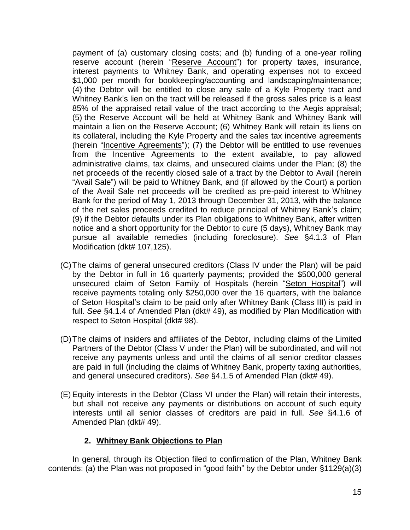payment of (a) customary closing costs; and (b) funding of a one-year rolling reserve account (herein "Reserve Account") for property taxes, insurance, interest payments to Whitney Bank, and operating expenses not to exceed \$1,000 per month for bookkeeping/accounting and landscaping/maintenance; (4) the Debtor will be entitled to close any sale of a Kyle Property tract and Whitney Bank's lien on the tract will be released if the gross sales price is a least 85% of the appraised retail value of the tract according to the Aegis appraisal; (5) the Reserve Account will be held at Whitney Bank and Whitney Bank will maintain a lien on the Reserve Account; (6) Whitney Bank will retain its liens on its collateral, including the Kyle Property and the sales tax incentive agreements (herein "Incentive Agreements"); (7) the Debtor will be entitled to use revenues from the Incentive Agreements to the extent available, to pay allowed administrative claims, tax claims, and unsecured claims under the Plan; (8) the net proceeds of the recently closed sale of a tract by the Debtor to Avail (herein "Avail Sale") will be paid to Whitney Bank, and (if allowed by the Court) a portion of the Avail Sale net proceeds will be credited as pre-paid interest to Whitney Bank for the period of May 1, 2013 through December 31, 2013, with the balance of the net sales proceeds credited to reduce principal of Whitney Bank's claim; (9) if the Debtor defaults under its Plan obligations to Whitney Bank, after written notice and a short opportunity for the Debtor to cure (5 days), Whitney Bank may pursue all available remedies (including foreclosure). *See* §4.1.3 of Plan Modification (dkt# 107,125).

- (C)The claims of general unsecured creditors (Class IV under the Plan) will be paid by the Debtor in full in 16 quarterly payments; provided the \$500,000 general unsecured claim of Seton Family of Hospitals (herein "Seton Hospital") will receive payments totaling only \$250,000 over the 16 quarters, with the balance of Seton Hospital's claim to be paid only after Whitney Bank (Class III) is paid in full. *See* §4.1.4 of Amended Plan (dkt# 49), as modified by Plan Modification with respect to Seton Hospital (dkt# 98).
- (D)The claims of insiders and affiliates of the Debtor, including claims of the Limited Partners of the Debtor (Class V under the Plan) will be subordinated, and will not receive any payments unless and until the claims of all senior creditor classes are paid in full (including the claims of Whitney Bank, property taxing authorities, and general unsecured creditors). *See* §4.1.5 of Amended Plan (dkt# 49).
- (E)Equity interests in the Debtor (Class VI under the Plan) will retain their interests, but shall not receive any payments or distributions on account of such equity interests until all senior classes of creditors are paid in full. *See* §4.1.6 of Amended Plan (dkt# 49).

# **2. Whitney Bank Objections to Plan**

In general, through its Objection filed to confirmation of the Plan, Whitney Bank contends: (a) the Plan was not proposed in "good faith" by the Debtor under §1129(a)(3)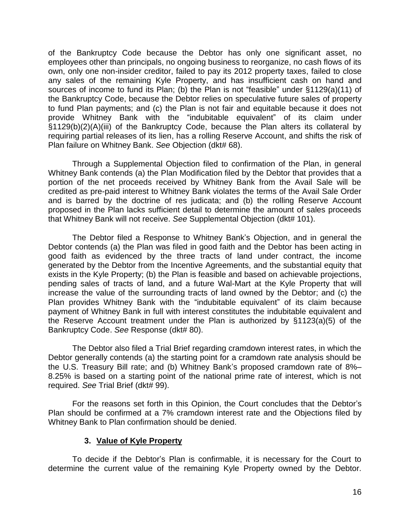of the Bankruptcy Code because the Debtor has only one significant asset, no employees other than principals, no ongoing business to reorganize, no cash flows of its own, only one non-insider creditor, failed to pay its 2012 property taxes, failed to close any sales of the remaining Kyle Property, and has insufficient cash on hand and sources of income to fund its Plan; (b) the Plan is not "feasible" under §1129(a)(11) of the Bankruptcy Code, because the Debtor relies on speculative future sales of property to fund Plan payments; and (c) the Plan is not fair and equitable because it does not provide Whitney Bank with the "indubitable equivalent" of its claim under §1129(b)(2)(A)(iii) of the Bankruptcy Code, because the Plan alters its collateral by requiring partial releases of its lien, has a rolling Reserve Account, and shifts the risk of Plan failure on Whitney Bank. *See* Objection (dkt# 68).

Through a Supplemental Objection filed to confirmation of the Plan, in general Whitney Bank contends (a) the Plan Modification filed by the Debtor that provides that a portion of the net proceeds received by Whitney Bank from the Avail Sale will be credited as pre-paid interest to Whitney Bank violates the terms of the Avail Sale Order and is barred by the doctrine of res judicata; and (b) the rolling Reserve Account proposed in the Plan lacks sufficient detail to determine the amount of sales proceeds that Whitney Bank will not receive. *See* Supplemental Objection (dkt# 101).

The Debtor filed a Response to Whitney Bank's Objection, and in general the Debtor contends (a) the Plan was filed in good faith and the Debtor has been acting in good faith as evidenced by the three tracts of land under contract, the income generated by the Debtor from the Incentive Agreements, and the substantial equity that exists in the Kyle Property; (b) the Plan is feasible and based on achievable projections, pending sales of tracts of land, and a future Wal-Mart at the Kyle Property that will increase the value of the surrounding tracts of land owned by the Debtor; and (c) the Plan provides Whitney Bank with the "indubitable equivalent" of its claim because payment of Whitney Bank in full with interest constitutes the indubitable equivalent and the Reserve Account treatment under the Plan is authorized by §1123(a)(5) of the Bankruptcy Code. *See* Response (dkt# 80).

The Debtor also filed a Trial Brief regarding cramdown interest rates, in which the Debtor generally contends (a) the starting point for a cramdown rate analysis should be the U.S. Treasury Bill rate; and (b) Whitney Bank's proposed cramdown rate of 8%– 8.25% is based on a starting point of the national prime rate of interest, which is not required. *See* Trial Brief (dkt# 99).

For the reasons set forth in this Opinion, the Court concludes that the Debtor's Plan should be confirmed at a 7% cramdown interest rate and the Objections filed by Whitney Bank to Plan confirmation should be denied.

### **3. Value of Kyle Property**

To decide if the Debtor's Plan is confirmable, it is necessary for the Court to determine the current value of the remaining Kyle Property owned by the Debtor.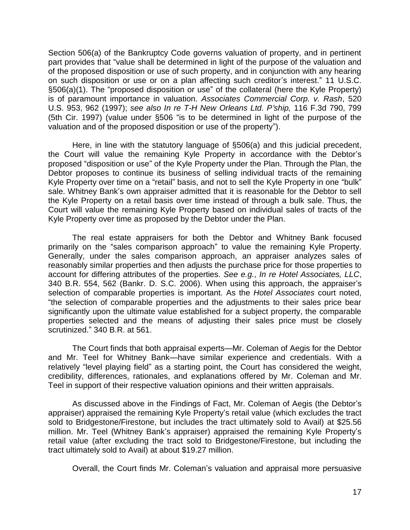Section 506(a) of the Bankruptcy Code governs valuation of property, and in pertinent part provides that "value shall be determined in light of the purpose of the valuation and of the proposed disposition or use of such property, and in conjunction with any hearing on such disposition or use or on a plan affecting such creditor's interest." 11 U.S.C. §506(a)(1). The "proposed disposition or use" of the collateral (here the Kyle Property) is of paramount importance in valuation. *Associates Commercial Corp. v. Rash*, 520 U.S. 953, 962 (1997); *see also In re T-H New Orleans Ltd. P'ship,* 116 F.3d 790, 799 (5th Cir. 1997) (value under §506 "is to be determined in light of the purpose of the valuation and of the proposed disposition or use of the property").

Here, in line with the statutory language of §506(a) and this judicial precedent, the Court will value the remaining Kyle Property in accordance with the Debtor's proposed "disposition or use" of the Kyle Property under the Plan. Through the Plan, the Debtor proposes to continue its business of selling individual tracts of the remaining Kyle Property over time on a "retail" basis, and not to sell the Kyle Property in one "bulk" sale. Whitney Bank's own appraiser admitted that it is reasonable for the Debtor to sell the Kyle Property on a retail basis over time instead of through a bulk sale. Thus, the Court will value the remaining Kyle Property based on individual sales of tracts of the Kyle Property over time as proposed by the Debtor under the Plan.

The real estate appraisers for both the Debtor and Whitney Bank focused primarily on the "sales comparison approach" to value the remaining Kyle Property. Generally, under the sales comparison approach, an appraiser analyzes sales of reasonably similar properties and then adjusts the purchase price for those properties to account for differing attributes of the properties. *See e.g.*, *In re Hotel Associates, LLC*, 340 B.R. 554, 562 (Bankr. D. S.C. 2006). When using this approach, the appraiser's selection of comparable properties is important. As the *Hotel Associates* court noted, "the selection of comparable properties and the adjustments to their sales price bear significantly upon the ultimate value established for a subject property, the comparable properties selected and the means of adjusting their sales price must be closely scrutinized." 340 B.R. at 561.

The Court finds that both appraisal experts—Mr. Coleman of Aegis for the Debtor and Mr. Teel for Whitney Bank—have similar experience and credentials. With a relatively "level playing field" as a starting point, the Court has considered the weight, credibility, differences, rationales, and explanations offered by Mr. Coleman and Mr. Teel in support of their respective valuation opinions and their written appraisals.

As discussed above in the Findings of Fact, Mr. Coleman of Aegis (the Debtor's appraiser) appraised the remaining Kyle Property's retail value (which excludes the tract sold to Bridgestone/Firestone, but includes the tract ultimately sold to Avail) at \$25.56 million. Mr. Teel (Whitney Bank's appraiser) appraised the remaining Kyle Property's retail value (after excluding the tract sold to Bridgestone/Firestone, but including the tract ultimately sold to Avail) at about \$19.27 million.

Overall, the Court finds Mr. Coleman's valuation and appraisal more persuasive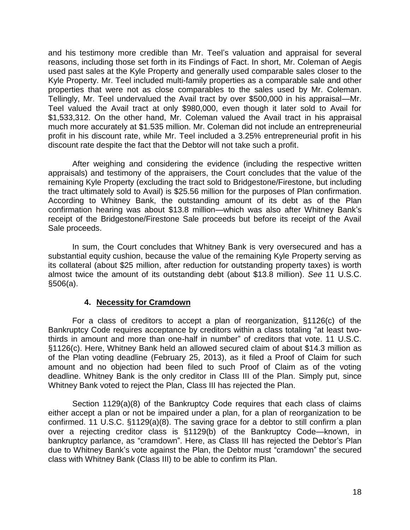and his testimony more credible than Mr. Teel's valuation and appraisal for several reasons, including those set forth in its Findings of Fact. In short, Mr. Coleman of Aegis used past sales at the Kyle Property and generally used comparable sales closer to the Kyle Property. Mr. Teel included multi-family properties as a comparable sale and other properties that were not as close comparables to the sales used by Mr. Coleman. Tellingly, Mr. Teel undervalued the Avail tract by over \$500,000 in his appraisal—Mr. Teel valued the Avail tract at only \$980,000, even though it later sold to Avail for \$1,533,312. On the other hand, Mr. Coleman valued the Avail tract in his appraisal much more accurately at \$1.535 million. Mr. Coleman did not include an entrepreneurial profit in his discount rate, while Mr. Teel included a 3.25% entrepreneurial profit in his discount rate despite the fact that the Debtor will not take such a profit.

After weighing and considering the evidence (including the respective written appraisals) and testimony of the appraisers, the Court concludes that the value of the remaining Kyle Property (excluding the tract sold to Bridgestone/Firestone, but including the tract ultimately sold to Avail) is \$25.56 million for the purposes of Plan confirmation. According to Whitney Bank, the outstanding amount of its debt as of the Plan confirmation hearing was about \$13.8 million—which was also after Whitney Bank's receipt of the Bridgestone/Firestone Sale proceeds but before its receipt of the Avail Sale proceeds.

In sum, the Court concludes that Whitney Bank is very oversecured and has a substantial equity cushion, because the value of the remaining Kyle Property serving as its collateral (about \$25 million, after reduction for outstanding property taxes) is worth almost twice the amount of its outstanding debt (about \$13.8 million). *See* 11 U.S.C. §506(a).

### **4. Necessity for Cramdown**

For a class of creditors to accept a plan of reorganization, §1126(c) of the Bankruptcy Code requires acceptance by creditors within a class totaling "at least twothirds in amount and more than one-half in number" of creditors that vote. 11 U.S.C. §1126(c). Here, Whitney Bank held an allowed secured claim of about \$14.3 million as of the Plan voting deadline (February 25, 2013), as it filed a Proof of Claim for such amount and no objection had been filed to such Proof of Claim as of the voting deadline. Whitney Bank is the only creditor in Class III of the Plan. Simply put, since Whitney Bank voted to reject the Plan, Class III has rejected the Plan.

Section 1129(a)(8) of the Bankruptcy Code requires that each class of claims either accept a plan or not be impaired under a plan, for a plan of reorganization to be confirmed. 11 U.S.C. §1129(a)(8). The saving grace for a debtor to still confirm a plan over a rejecting creditor class is §1129(b) of the Bankruptcy Code—known, in bankruptcy parlance, as "cramdown". Here, as Class III has rejected the Debtor's Plan due to Whitney Bank's vote against the Plan, the Debtor must "cramdown" the secured class with Whitney Bank (Class III) to be able to confirm its Plan.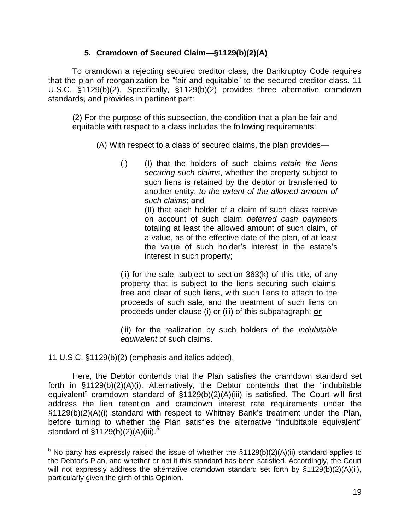## **5. Cramdown of Secured Claim—§1129(b)(2)(A)**

To cramdown a rejecting secured creditor class, the Bankruptcy Code requires that the plan of reorganization be "fair and equitable" to the secured creditor class. 11 U.S.C. §1129(b)(2). Specifically, §1129(b)(2) provides three alternative cramdown standards, and provides in pertinent part:

(2) For the purpose of this subsection, the condition that a plan be fair and equitable with respect to a class includes the following requirements:

(A) With respect to a class of secured claims, the plan provides—

(i) (I) that the holders of such claims *retain the liens securing such claims*, whether the property subject to such liens is retained by the debtor or transferred to another entity, *to the extent of the allowed amount of such claims*; and (II) that each holder of a claim of such class receive

on account of such claim *deferred cash payments* totaling at least the allowed amount of such claim, of a value, as of the effective date of the plan, of at least the value of such holder's interest in the estate's interest in such property;

(ii) for the sale, subject to section  $363(k)$  of this title, of any property that is subject to the liens securing such claims, free and clear of such liens, with such liens to attach to the proceeds of such sale, and the treatment of such liens on proceeds under clause (i) or (iii) of this subparagraph; **or**

(iii) for the realization by such holders of the *indubitable equivalent* of such claims.

11 U.S.C. §1129(b)(2) (emphasis and italics added).

 $\overline{a}$ 

Here, the Debtor contends that the Plan satisfies the cramdown standard set forth in §1129(b)(2)(A)(i). Alternatively, the Debtor contends that the "indubitable equivalent" cramdown standard of §1129(b)(2)(A)(iii) is satisfied. The Court will first address the lien retention and cramdown interest rate requirements under the §1129(b)(2)(A)(i) standard with respect to Whitney Bank's treatment under the Plan, before turning to whether the Plan satisfies the alternative "indubitable equivalent" standard of §1129(b)(2)(A)(iii).<sup>5</sup>

 $5$  No party has expressly raised the issue of whether the  $\S1129(b)(2)(A)(ii)$  standard applies to the Debtor's Plan, and whether or not it this standard has been satisfied. Accordingly, the Court will not expressly address the alternative cramdown standard set forth by  $\S1129(b)(2)(A)(ii)$ , particularly given the girth of this Opinion.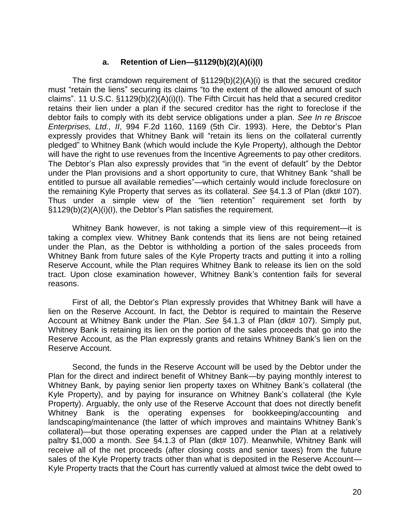## **a. Retention of Lien—§1129(b)(2)(A)(i)(I)**

The first cramdown requirement of  $\S1129(b)(2)(A)(i)$  is that the secured creditor must "retain the liens" securing its claims "to the extent of the allowed amount of such claims". 11 U.S.C. §1129(b)(2)(A)(i)(I). The Fifth Circuit has held that a secured creditor retains their lien under a plan if the secured creditor has the right to foreclose if the debtor fails to comply with its debt service obligations under a plan. *See In re Briscoe Enterprises, Ltd., II*, 994 F.2d 1160, 1169 (5th Cir. 1993). Here, the Debtor's Plan expressly provides that Whitney Bank will "retain its liens on the collateral currently pledged" to Whitney Bank (which would include the Kyle Property), although the Debtor will have the right to use revenues from the Incentive Agreements to pay other creditors. The Debtor's Plan also expressly provides that "in the event of default" by the Debtor under the Plan provisions and a short opportunity to cure, that Whitney Bank "shall be entitled to pursue all available remedies"—which certainly would include foreclosure on the remaining Kyle Property that serves as its collateral. *See* §4.1.3 of Plan (dkt# 107). Thus under a simple view of the "lien retention" requirement set forth by §1129(b)(2)(A)(i)(I), the Debtor's Plan satisfies the requirement.

Whitney Bank however, is not taking a simple view of this requirement—it is taking a complex view. Whitney Bank contends that its liens are not being retained under the Plan, as the Debtor is withholding a portion of the sales proceeds from Whitney Bank from future sales of the Kyle Property tracts and putting it into a rolling Reserve Account, while the Plan requires Whitney Bank to release its lien on the sold tract. Upon close examination however, Whitney Bank's contention fails for several reasons.

First of all, the Debtor's Plan expressly provides that Whitney Bank will have a lien on the Reserve Account. In fact, the Debtor is required to maintain the Reserve Account at Whitney Bank under the Plan. *See* §4.1.3 of Plan (dkt# 107). Simply put, Whitney Bank is retaining its lien on the portion of the sales proceeds that go into the Reserve Account, as the Plan expressly grants and retains Whitney Bank's lien on the Reserve Account.

Second, the funds in the Reserve Account will be used by the Debtor under the Plan for the direct and indirect benefit of Whitney Bank—by paying monthly interest to Whitney Bank, by paying senior lien property taxes on Whitney Bank's collateral (the Kyle Property), and by paying for insurance on Whitney Bank's collateral (the Kyle Property). Arguably, the only use of the Reserve Account that does not directly benefit Whitney Bank is the operating expenses for bookkeeping/accounting and landscaping/maintenance (the latter of which improves and maintains Whitney Bank's collateral)—but those operating expenses are capped under the Plan at a relatively paltry \$1,000 a month. *See* §4.1.3 of Plan (dkt# 107). Meanwhile, Whitney Bank will receive all of the net proceeds (after closing costs and senior taxes) from the future sales of the Kyle Property tracts other than what is deposited in the Reserve Account— Kyle Property tracts that the Court has currently valued at almost twice the debt owed to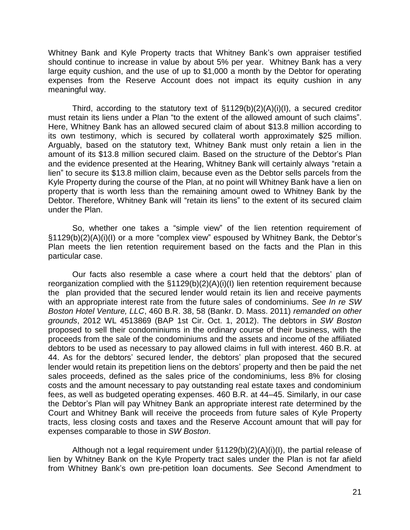Whitney Bank and Kyle Property tracts that Whitney Bank's own appraiser testified should continue to increase in value by about 5% per year. Whitney Bank has a very large equity cushion, and the use of up to \$1,000 a month by the Debtor for operating expenses from the Reserve Account does not impact its equity cushion in any meaningful way.

Third, according to the statutory text of §1129(b)(2)(A)(i)(I), a secured creditor must retain its liens under a Plan "to the extent of the allowed amount of such claims". Here, Whitney Bank has an allowed secured claim of about \$13.8 million according to its own testimony, which is secured by collateral worth approximately \$25 million. Arguably, based on the statutory text, Whitney Bank must only retain a lien in the amount of its \$13.8 million secured claim. Based on the structure of the Debtor's Plan and the evidence presented at the Hearing, Whitney Bank will certainly always "retain a lien" to secure its \$13.8 million claim, because even as the Debtor sells parcels from the Kyle Property during the course of the Plan, at no point will Whitney Bank have a lien on property that is worth less than the remaining amount owed to Whitney Bank by the Debtor. Therefore, Whitney Bank will "retain its liens" to the extent of its secured claim under the Plan.

So, whether one takes a "simple view" of the lien retention requirement of §1129(b)(2)(A)(i)(I) or a more "complex view" espoused by Whitney Bank, the Debtor's Plan meets the lien retention requirement based on the facts and the Plan in this particular case.

Our facts also resemble a case where a court held that the debtors' plan of reorganization complied with the §1129(b)(2)(A)(i)(I) lien retention requirement because the plan provided that the secured lender would retain its lien and receive payments with an appropriate interest rate from the future sales of condominiums. *See In re SW Boston Hotel Venture, LLC*, 460 B.R. 38, 58 (Bankr. D. Mass. 2011) *remanded on other grounds*, 2012 WL 4513869 (BAP 1st Cir. Oct. 1, 2012). The debtors in *SW Boston*  proposed to sell their condominiums in the ordinary course of their business, with the proceeds from the sale of the condominiums and the assets and income of the affiliated debtors to be used as necessary to pay allowed claims in full with interest. 460 B.R. at 44. As for the debtors' secured lender, the debtors' plan proposed that the secured lender would retain its prepetition liens on the debtors' property and then be paid the net sales proceeds, defined as the sales price of the condominiums, less 8% for closing costs and the amount necessary to pay outstanding real estate taxes and condominium fees, as well as budgeted operating expenses. 460 B.R. at 44–45. Similarly, in our case the Debtor's Plan will pay Whitney Bank an appropriate interest rate determined by the Court and Whitney Bank will receive the proceeds from future sales of Kyle Property tracts, less closing costs and taxes and the Reserve Account amount that will pay for expenses comparable to those in *SW Boston*.

Although not a legal requirement under §1129(b)(2)(A)(i)(I), the partial release of lien by Whitney Bank on the Kyle Property tract sales under the Plan is not far afield from Whitney Bank's own pre-petition loan documents. *See* Second Amendment to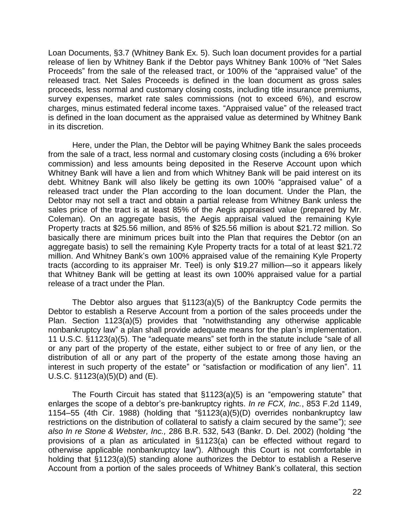Loan Documents, §3.7 (Whitney Bank Ex. 5). Such loan document provides for a partial release of lien by Whitney Bank if the Debtor pays Whitney Bank 100% of "Net Sales Proceeds" from the sale of the released tract, or 100% of the "appraised value" of the released tract. Net Sales Proceeds is defined in the loan document as gross sales proceeds, less normal and customary closing costs, including title insurance premiums, survey expenses, market rate sales commissions (not to exceed 6%), and escrow charges, minus estimated federal income taxes. "Appraised value" of the released tract is defined in the loan document as the appraised value as determined by Whitney Bank in its discretion.

Here, under the Plan, the Debtor will be paying Whitney Bank the sales proceeds from the sale of a tract, less normal and customary closing costs (including a 6% broker commission) and less amounts being deposited in the Reserve Account upon which Whitney Bank will have a lien and from which Whitney Bank will be paid interest on its debt. Whitney Bank will also likely be getting its own 100% "appraised value" of a released tract under the Plan according to the loan document. Under the Plan, the Debtor may not sell a tract and obtain a partial release from Whitney Bank unless the sales price of the tract is at least 85% of the Aegis appraised value (prepared by Mr. Coleman). On an aggregate basis, the Aegis appraisal valued the remaining Kyle Property tracts at \$25.56 million, and 85% of \$25.56 million is about \$21.72 million. So basically there are minimum prices built into the Plan that requires the Debtor (on an aggregate basis) to sell the remaining Kyle Property tracts for a total of at least \$21.72 million. And Whitney Bank's own 100% appraised value of the remaining Kyle Property tracts (according to its appraiser Mr. Teel) is only \$19.27 million—so it appears likely that Whitney Bank will be getting at least its own 100% appraised value for a partial release of a tract under the Plan.

The Debtor also argues that §1123(a)(5) of the Bankruptcy Code permits the Debtor to establish a Reserve Account from a portion of the sales proceeds under the Plan. Section 1123(a)(5) provides that "notwithstanding any otherwise applicable nonbankruptcy law" a plan shall provide adequate means for the plan's implementation. 11 U.S.C. §1123(a)(5). The "adequate means" set forth in the statute include "sale of all or any part of the property of the estate, either subject to or free of any lien, or the distribution of all or any part of the property of the estate among those having an interest in such property of the estate" or "satisfaction or modification of any lien". 11 U.S.C. §1123(a)(5)(D) and (E).

The Fourth Circuit has stated that §1123(a)(5) is an "empowering statute" that enlarges the scope of a debtor's pre-bankruptcy rights. *In re FCX, Inc.*, 853 F.2d 1149, 1154–55 (4th Cir. 1988) (holding that "§1123(a)(5)(D) overrides nonbankruptcy law restrictions on the distribution of collateral to satisfy a claim secured by the same"); *see also In re Stone & Webster, Inc.,* 286 B.R. 532, 543 (Bankr. D. Del. 2002) (holding "the provisions of a plan as articulated in §1123(a) can be effected without regard to otherwise applicable nonbankruptcy law"). Although this Court is not comfortable in holding that §1123(a)(5) standing alone authorizes the Debtor to establish a Reserve Account from a portion of the sales proceeds of Whitney Bank's collateral, this section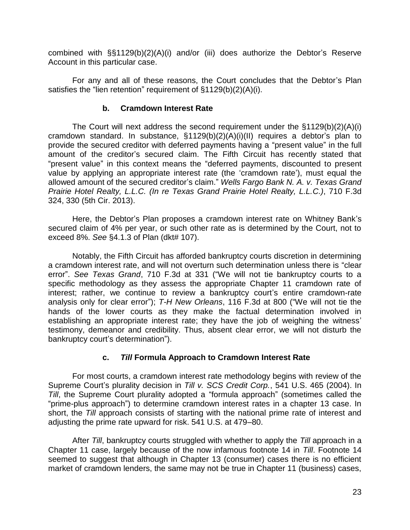combined with §§1129(b)(2)(A)(i) and/or (iii) does authorize the Debtor's Reserve Account in this particular case.

For any and all of these reasons, the Court concludes that the Debtor's Plan satisfies the "lien retention" requirement of §1129(b)(2)(A)(i).

#### **b. Cramdown Interest Rate**

The Court will next address the second requirement under the §1129(b)(2)(A)(i) cramdown standard. In substance, §1129(b)(2)(A)(i)(II) requires a debtor's plan to provide the secured creditor with deferred payments having a "present value" in the full amount of the creditor's secured claim. The Fifth Circuit has recently stated that "present value" in this context means the "deferred payments, discounted to present value by applying an appropriate interest rate (the 'cramdown rate'), must equal the allowed amount of the secured creditor's claim." *Wells Fargo Bank N. A. v. Texas Grand Prairie Hotel Realty, L.L.C. (In re Texas Grand Prairie Hotel Realty, L.L.C.)*, 710 F.3d 324, 330 (5th Cir. 2013).

Here, the Debtor's Plan proposes a cramdown interest rate on Whitney Bank's secured claim of 4% per year, or such other rate as is determined by the Court, not to exceed 8%. *See* §4.1.3 of Plan (dkt# 107).

Notably, the Fifth Circuit has afforded bankruptcy courts discretion in determining a cramdown interest rate, and will not overturn such determination unless there is "clear error". *See Texas Grand*, 710 F.3d at 331 ("We will not tie bankruptcy courts to a specific methodology as they assess the appropriate Chapter 11 cramdown rate of interest; rather, we continue to review a bankruptcy court's entire cramdown-rate analysis only for clear error"); *T-H New Orleans*, 116 F.3d at 800 ("We will not tie the hands of the lower courts as they make the factual determination involved in establishing an appropriate interest rate; they have the job of weighing the witness' testimony, demeanor and credibility. Thus, absent clear error, we will not disturb the bankruptcy court's determination").

### **c.** *Till* **Formula Approach to Cramdown Interest Rate**

For most courts, a cramdown interest rate methodology begins with review of the Supreme Court's plurality decision in *Till v. SCS Credit Corp.*, 541 U.S. 465 (2004). In *Till*, the Supreme Court plurality adopted a "formula approach" (sometimes called the "prime-plus approach") to determine cramdown interest rates in a chapter 13 case. In short, the *Till* approach consists of starting with the national prime rate of interest and adjusting the prime rate upward for risk. 541 U.S. at 479–80.

After *Till*, bankruptcy courts struggled with whether to apply the *Till* approach in a Chapter 11 case, largely because of the now infamous footnote 14 in *Till*. Footnote 14 seemed to suggest that although in Chapter 13 (consumer) cases there is no efficient market of cramdown lenders, the same may not be true in Chapter 11 (business) cases,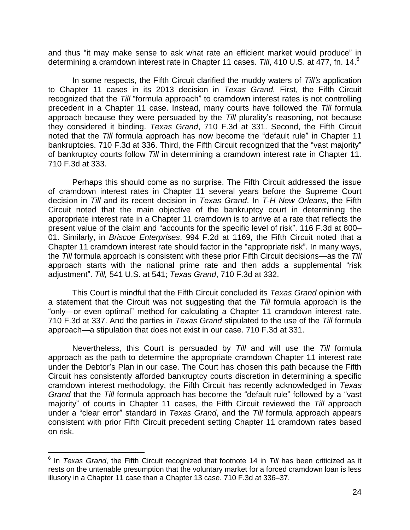and thus "it may make sense to ask what rate an efficient market would produce" in determining a cramdown interest rate in Chapter 11 cases. *Till*, 410 U.S. at 477, fn. 14.<sup>6</sup>

In some respects, the Fifth Circuit clarified the muddy waters of *Till's* application to Chapter 11 cases in its 2013 decision in *Texas Grand.* First, the Fifth Circuit recognized that the *Till* "formula approach" to cramdown interest rates is not controlling precedent in a Chapter 11 case. Instead, many courts have followed the *Till* formula approach because they were persuaded by the *Till* plurality's reasoning, not because they considered it binding. *Texas Grand*, 710 F.3d at 331. Second, the Fifth Circuit noted that the *Till* formula approach has now become the "default rule" in Chapter 11 bankruptcies. 710 F.3d at 336. Third, the Fifth Circuit recognized that the "vast majority" of bankruptcy courts follow *Till* in determining a cramdown interest rate in Chapter 11. 710 F.3d at 333.

Perhaps this should come as no surprise. The Fifth Circuit addressed the issue of cramdown interest rates in Chapter 11 several years before the Supreme Court decision in *Till* and its recent decision in *Texas Grand*. In *T-H New Orleans*, the Fifth Circuit noted that the main objective of the bankruptcy court in determining the appropriate interest rate in a Chapter 11 cramdown is to arrive at a rate that reflects the present value of the claim and "accounts for the specific level of risk". 116 F.3d at 800– 01. Similarly, in *Briscoe Enterprises*, 994 F.2d at 1169, the Fifth Circuit noted that a Chapter 11 cramdown interest rate should factor in the "appropriate risk"*.* In many ways, the *Till* formula approach is consistent with these prior Fifth Circuit decisions—as the *Till*  approach starts with the national prime rate and then adds a supplemental "risk adjustment". *Till,* 541 U.S. at 541; *Texas Grand*, 710 F.3d at 332.

This Court is mindful that the Fifth Circuit concluded its *Texas Grand* opinion with a statement that the Circuit was not suggesting that the *Till* formula approach is the "only—or even optimal" method for calculating a Chapter 11 cramdown interest rate. 710 F.3d at 337. And the parties in *Texas Grand* stipulated to the use of the *Till* formula approach—a stipulation that does not exist in our case. 710 F.3d at 331.

Nevertheless, this Court is persuaded by *Till* and will use the *Till* formula approach as the path to determine the appropriate cramdown Chapter 11 interest rate under the Debtor's Plan in our case. The Court has chosen this path because the Fifth Circuit has consistently afforded bankruptcy courts discretion in determining a specific cramdown interest methodology, the Fifth Circuit has recently acknowledged in *Texas Grand* that the *Till* formula approach has become the "default rule" followed by a "vast majority" of courts in Chapter 11 cases, the Fifth Circuit reviewed the *Till* approach under a "clear error" standard in *Texas Grand*, and the *Till* formula approach appears consistent with prior Fifth Circuit precedent setting Chapter 11 cramdown rates based on risk.

 $\overline{a}$ 

<sup>6</sup> In *Texas Grand*, the Fifth Circuit recognized that footnote 14 in *Till* has been criticized as it rests on the untenable presumption that the voluntary market for a forced cramdown loan is less illusory in a Chapter 11 case than a Chapter 13 case. 710 F.3d at 336–37.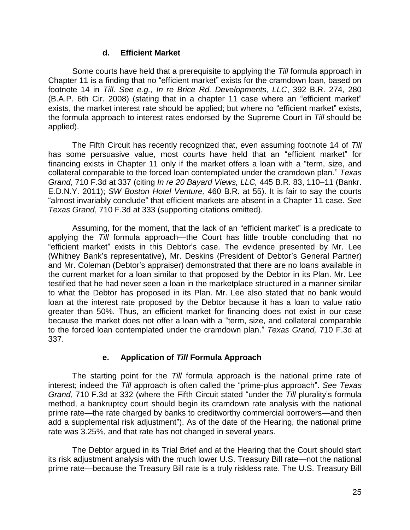### **d. Efficient Market**

Some courts have held that a prerequisite to applying the *Till* formula approach in Chapter 11 is a finding that no "efficient market" exists for the cramdown loan, based on footnote 14 in *Till*. *See e.g., In re Brice Rd. Developments, LLC*, 392 B.R. 274, 280 (B.A.P. 6th Cir. 2008) (stating that in a chapter 11 case where an "efficient market" exists, the market interest rate should be applied; but where no "efficient market" exists, the formula approach to interest rates endorsed by the Supreme Court in *Till* should be applied).

The Fifth Circuit has recently recognized that, even assuming footnote 14 of *Till* has some persuasive value, most courts have held that an "efficient market" for financing exists in Chapter 11 only if the market offers a loan with a "term, size, and collateral comparable to the forced loan contemplated under the cramdown plan." *Texas Grand*, 710 F.3d at 337 (citing *In re 20 Bayard Views, LLC,* 445 B.R. 83, 110–11 (Bankr. E.D.N.Y. 2011); *SW Boston Hotel Venture,* 460 B.R. at 55). It is fair to say the courts "almost invariably conclude" that efficient markets are absent in a Chapter 11 case. *See Texas Grand*, 710 F.3d at 333 (supporting citations omitted).

Assuming, for the moment, that the lack of an "efficient market" is a predicate to applying the *Till* formula approach—the Court has little trouble concluding that no "efficient market" exists in this Debtor's case. The evidence presented by Mr. Lee (Whitney Bank's representative), Mr. Deskins (President of Debtor's General Partner) and Mr. Coleman (Debtor's appraiser) demonstrated that there are no loans available in the current market for a loan similar to that proposed by the Debtor in its Plan. Mr. Lee testified that he had never seen a loan in the marketplace structured in a manner similar to what the Debtor has proposed in its Plan. Mr. Lee also stated that no bank would loan at the interest rate proposed by the Debtor because it has a loan to value ratio greater than 50%. Thus, an efficient market for financing does not exist in our case because the market does not offer a loan with a "term, size, and collateral comparable to the forced loan contemplated under the cramdown plan." *Texas Grand,* 710 F.3d at 337.

# **e. Application of** *Till* **Formula Approach**

The starting point for the *Till* formula approach is the national prime rate of interest; indeed the *Till* approach is often called the "prime-plus approach". *See Texas Grand*, 710 F.3d at 332 (where the Fifth Circuit stated "under the *Till* plurality's formula method, a bankruptcy court should begin its cramdown rate analysis with the national prime rate—the rate charged by banks to creditworthy commercial borrowers—and then add a supplemental risk adjustment"). As of the date of the Hearing, the national prime rate was 3.25%, and that rate has not changed in several years.

The Debtor argued in its Trial Brief and at the Hearing that the Court should start its risk adjustment analysis with the much lower U.S. Treasury Bill rate—not the national prime rate—because the Treasury Bill rate is a truly riskless rate. The U.S. Treasury Bill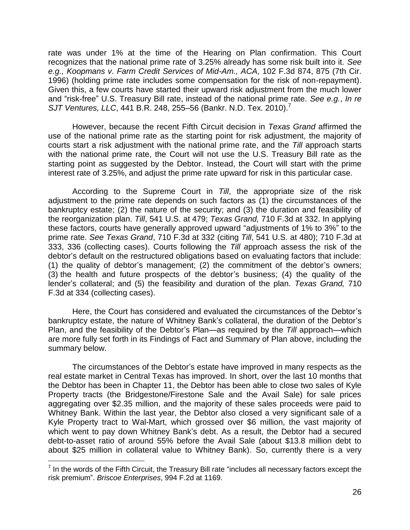rate was under 1% at the time of the Hearing on Plan confirmation. This Court recognizes that the national prime rate of 3.25% already has some risk built into it. *See e.g., Koopmans v. Farm Credit Services of Mid-Am., ACA*, 102 F.3d 874, 875 (7th Cir. 1996) (holding prime rate includes some compensation for the risk of non-repayment). Given this, a few courts have started their upward risk adjustment from the much lower and "risk-free" U.S. Treasury Bill rate, instead of the national prime rate. *See e.g.*, *In re SJT Ventures, LLC, 441 B.R. 248, 255–56 (Bankr. N.D. Tex. 2010).<sup>7</sup>* 

However, because the recent Fifth Circuit decision in *Texas Grand* affirmed the use of the national prime rate as the starting point for risk adjustment, the majority of courts start a risk adjustment with the national prime rate, and the *Till* approach starts with the national prime rate, the Court will not use the U.S. Treasury Bill rate as the starting point as suggested by the Debtor. Instead, the Court will start with the prime interest rate of 3.25%, and adjust the prime rate upward for risk in this particular case.

According to the Supreme Court in *Till*, the appropriate size of the risk adjustment to the prime rate depends on such factors as (1) the circumstances of the bankruptcy estate; (2) the nature of the security; and (3) the duration and feasibility of the reorganization plan. *Till*, 541 U.S. at 479; *Texas Grand,* 710 F.3d at 332. In applying these factors, courts have generally approved upward "adjustments of 1% to 3%" to the prime rate. *See Texas Grand*, 710 F.3d at 332 (citing *Till*, 541 U.S. at 480); 710 F.3d at 333, 336 (collecting cases). Courts following the *Till a*pproach assess the risk of the debtor's default on the restructured obligations based on evaluating factors that include: (1) the quality of debtor's management; (2) the commitment of the debtor's owners; (3) the health and future prospects of the debtor's business; (4) the quality of the lender's collateral; and (5) the feasibility and duration of the plan. *Texas Grand,* 710 F.3d at 334 (collecting cases).

Here, the Court has considered and evaluated the circumstances of the Debtor's bankruptcy estate, the nature of Whitney Bank's collateral, the duration of the Debtor's Plan, and the feasibility of the Debtor's Plan—as required by the *Till* approach—which are more fully set forth in its Findings of Fact and Summary of Plan above, including the summary below.

The circumstances of the Debtor's estate have improved in many respects as the real estate market in Central Texas has improved. In short, over the last 10 months that the Debtor has been in Chapter 11, the Debtor has been able to close two sales of Kyle Property tracts (the Bridgestone/Firestone Sale and the Avail Sale) for sale prices aggregating over \$2.35 million, and the majority of these sales proceeds were paid to Whitney Bank. Within the last year, the Debtor also closed a very significant sale of a Kyle Property tract to Wal-Mart, which grossed over \$6 million, the vast majority of which went to pay down Whitney Bank's debt. As a result, the Debtor had a secured debt-to-asset ratio of around 55% before the Avail Sale (about \$13.8 million debt to about \$25 million in collateral value to Whitney Bank). So, currently there is a very

 $\overline{a}$ 

 $<sup>7</sup>$  In the words of the Fifth Circuit, the Treasury Bill rate "includes all necessary factors except the</sup> risk premium". *Briscoe Enterprises*, 994 F.2d at 1169.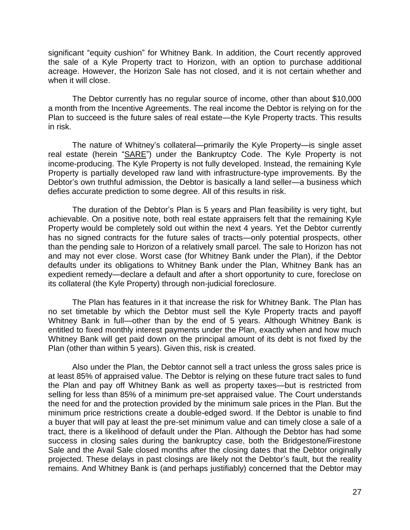significant "equity cushion" for Whitney Bank. In addition, the Court recently approved the sale of a Kyle Property tract to Horizon, with an option to purchase additional acreage. However, the Horizon Sale has not closed, and it is not certain whether and when it will close.

The Debtor currently has no regular source of income, other than about \$10,000 a month from the Incentive Agreements. The real income the Debtor is relying on for the Plan to succeed is the future sales of real estate—the Kyle Property tracts. This results in risk.

The nature of Whitney's collateral—primarily the Kyle Property—is single asset real estate (herein "SARE") under the Bankruptcy Code. The Kyle Property is not income-producing. The Kyle Property is not fully developed. Instead, the remaining Kyle Property is partially developed raw land with infrastructure-type improvements. By the Debtor's own truthful admission, the Debtor is basically a land seller—a business which defies accurate prediction to some degree. All of this results in risk.

The duration of the Debtor's Plan is 5 years and Plan feasibility is very tight, but achievable. On a positive note, both real estate appraisers felt that the remaining Kyle Property would be completely sold out within the next 4 years. Yet the Debtor currently has no signed contracts for the future sales of tracts—only potential prospects, other than the pending sale to Horizon of a relatively small parcel. The sale to Horizon has not and may not ever close. Worst case (for Whitney Bank under the Plan), if the Debtor defaults under its obligations to Whitney Bank under the Plan, Whitney Bank has an expedient remedy—declare a default and after a short opportunity to cure, foreclose on its collateral (the Kyle Property) through non-judicial foreclosure.

The Plan has features in it that increase the risk for Whitney Bank. The Plan has no set timetable by which the Debtor must sell the Kyle Property tracts and payoff Whitney Bank in full—other than by the end of 5 years. Although Whitney Bank is entitled to fixed monthly interest payments under the Plan, exactly when and how much Whitney Bank will get paid down on the principal amount of its debt is not fixed by the Plan (other than within 5 years). Given this, risk is created.

Also under the Plan, the Debtor cannot sell a tract unless the gross sales price is at least 85% of appraised value. The Debtor is relying on these future tract sales to fund the Plan and pay off Whitney Bank as well as property taxes—but is restricted from selling for less than 85% of a minimum pre-set appraised value. The Court understands the need for and the protection provided by the minimum sale prices in the Plan. But the minimum price restrictions create a double-edged sword. If the Debtor is unable to find a buyer that will pay at least the pre-set minimum value and can timely close a sale of a tract, there is a likelihood of default under the Plan. Although the Debtor has had some success in closing sales during the bankruptcy case, both the Bridgestone/Firestone Sale and the Avail Sale closed months after the closing dates that the Debtor originally projected. These delays in past closings are likely not the Debtor's fault, but the reality remains. And Whitney Bank is (and perhaps justifiably) concerned that the Debtor may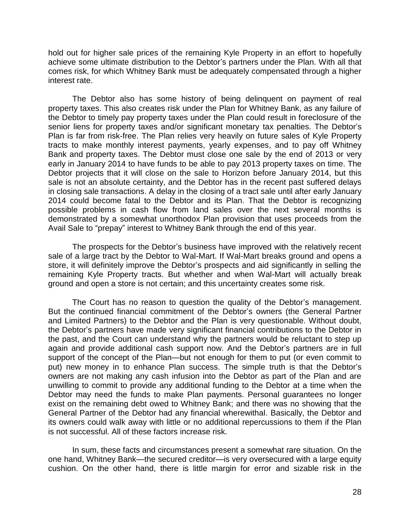hold out for higher sale prices of the remaining Kyle Property in an effort to hopefully achieve some ultimate distribution to the Debtor's partners under the Plan. With all that comes risk, for which Whitney Bank must be adequately compensated through a higher interest rate.

The Debtor also has some history of being delinquent on payment of real property taxes. This also creates risk under the Plan for Whitney Bank, as any failure of the Debtor to timely pay property taxes under the Plan could result in foreclosure of the senior liens for property taxes and/or significant monetary tax penalties. The Debtor's Plan is far from risk-free. The Plan relies very heavily on future sales of Kyle Property tracts to make monthly interest payments, yearly expenses, and to pay off Whitney Bank and property taxes. The Debtor must close one sale by the end of 2013 or very early in January 2014 to have funds to be able to pay 2013 property taxes on time. The Debtor projects that it will close on the sale to Horizon before January 2014, but this sale is not an absolute certainty, and the Debtor has in the recent past suffered delays in closing sale transactions. A delay in the closing of a tract sale until after early January 2014 could become fatal to the Debtor and its Plan. That the Debtor is recognizing possible problems in cash flow from land sales over the next several months is demonstrated by a somewhat unorthodox Plan provision that uses proceeds from the Avail Sale to "prepay" interest to Whitney Bank through the end of this year.

The prospects for the Debtor's business have improved with the relatively recent sale of a large tract by the Debtor to Wal-Mart. If Wal-Mart breaks ground and opens a store, it will definitely improve the Debtor's prospects and aid significantly in selling the remaining Kyle Property tracts. But whether and when Wal-Mart will actually break ground and open a store is not certain; and this uncertainty creates some risk.

The Court has no reason to question the quality of the Debtor's management. But the continued financial commitment of the Debtor's owners (the General Partner and Limited Partners) to the Debtor and the Plan is very questionable. Without doubt, the Debtor's partners have made very significant financial contributions to the Debtor in the past, and the Court can understand why the partners would be reluctant to step up again and provide additional cash support now. And the Debtor's partners are in full support of the concept of the Plan—but not enough for them to put (or even commit to put) new money in to enhance Plan success. The simple truth is that the Debtor's owners are not making any cash infusion into the Debtor as part of the Plan and are unwilling to commit to provide any additional funding to the Debtor at a time when the Debtor may need the funds to make Plan payments. Personal guarantees no longer exist on the remaining debt owed to Whitney Bank; and there was no showing that the General Partner of the Debtor had any financial wherewithal. Basically, the Debtor and its owners could walk away with little or no additional repercussions to them if the Plan is not successful. All of these factors increase risk.

In sum, these facts and circumstances present a somewhat rare situation. On the one hand, Whitney Bank—the secured creditor—is very oversecured with a large equity cushion. On the other hand, there is little margin for error and sizable risk in the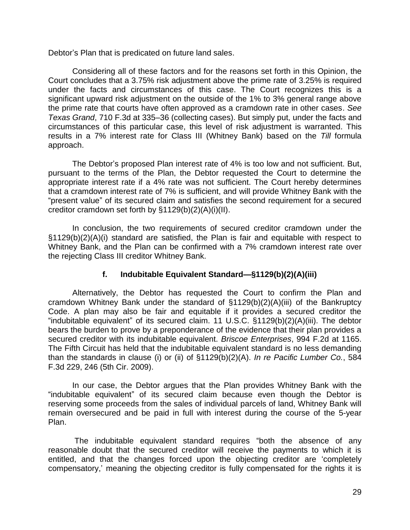Debtor's Plan that is predicated on future land sales.

Considering all of these factors and for the reasons set forth in this Opinion, the Court concludes that a 3.75% risk adjustment above the prime rate of 3.25% is required under the facts and circumstances of this case. The Court recognizes this is a significant upward risk adjustment on the outside of the 1% to 3% general range above the prime rate that courts have often approved as a cramdown rate in other cases. *See Texas Grand*, 710 F.3d at 335–36 (collecting cases). But simply put, under the facts and circumstances of this particular case, this level of risk adjustment is warranted. This results in a 7% interest rate for Class III (Whitney Bank) based on the *Till* formula approach.

The Debtor's proposed Plan interest rate of 4% is too low and not sufficient. But, pursuant to the terms of the Plan, the Debtor requested the Court to determine the appropriate interest rate if a 4% rate was not sufficient. The Court hereby determines that a cramdown interest rate of 7% is sufficient, and will provide Whitney Bank with the "present value" of its secured claim and satisfies the second requirement for a secured creditor cramdown set forth by §1129(b)(2)(A)(i)(II).

In conclusion, the two requirements of secured creditor cramdown under the §1129(b)(2)(A)(i) standard are satisfied, the Plan is fair and equitable with respect to Whitney Bank, and the Plan can be confirmed with a 7% cramdown interest rate over the rejecting Class III creditor Whitney Bank.

# **f. Indubitable Equivalent Standard—§1129(b)(2)(A)(iii)**

Alternatively, the Debtor has requested the Court to confirm the Plan and cramdown Whitney Bank under the standard of §1129(b)(2)(A)(iii) of the Bankruptcy Code. A plan may also be fair and equitable if it provides a secured creditor the "indubitable equivalent" of its secured claim. 11 U.S.C. §1129(b)(2)(A)(iii). The debtor bears the burden to prove by a preponderance of the evidence that their plan provides a secured creditor with its indubitable equivalent. *Briscoe Enterprises*, 994 F.2d at 1165. The Fifth Circuit has held that the indubitable equivalent standard is no less demanding than the standards in clause (i) or (ii) of §1129(b)(2)(A). *In re Pacific Lumber Co.*, 584 F.3d 229, 246 (5th Cir. 2009).

In our case, the Debtor argues that the Plan provides Whitney Bank with the "indubitable equivalent" of its secured claim because even though the Debtor is reserving some proceeds from the sales of individual parcels of land, Whitney Bank will remain oversecured and be paid in full with interest during the course of the 5-year Plan.

The indubitable equivalent standard requires "both the absence of any reasonable doubt that the secured creditor will receive the payments to which it is entitled, and that the changes forced upon the objecting creditor are 'completely compensatory,' meaning the objecting creditor is fully compensated for the rights it is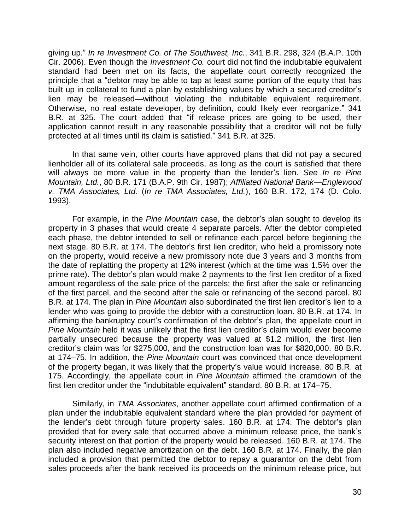giving up." *In re Investment Co. of The Southwest, Inc.*, 341 B.R. 298, 324 (B.A.P. 10th Cir. 2006). Even though the *Investment Co.* court did not find the indubitable equivalent standard had been met on its facts, the appellate court correctly recognized the principle that a "debtor may be able to tap at least some portion of the equity that has built up in collateral to fund a plan by establishing values by which a secured creditor's lien may be released—without violating the indubitable equivalent requirement. Otherwise, no real estate developer, by definition, could likely ever reorganize." 341 B.R. at 325. The court added that "if release prices are going to be used, their application cannot result in any reasonable possibility that a creditor will not be fully protected at all times until its claim is satisfied." 341 B.R. at 325.

In that same vein, other courts have approved plans that did not pay a secured lienholder all of its collateral sale proceeds, as long as the court is satisfied that there will always be more value in the property than the lender's lien. *See In re Pine Mountain, Ltd.*, 80 B.R. 171 (B.A.P. 9th Cir. 1987); *Affiliated National Bank—Englewood v. TMA Associates, Ltd.* (*In re TMA Associates, Ltd.*), 160 B.R. 172, 174 (D. Colo. 1993).

For example, in the *Pine Mountain* case, the debtor's plan sought to develop its property in 3 phases that would create 4 separate parcels. After the debtor completed each phase, the debtor intended to sell or refinance each parcel before beginning the next stage. 80 B.R. at 174. The debtor's first lien creditor, who held a promissory note on the property, would receive a new promissory note due 3 years and 3 months from the date of replatting the property at 12% interest (which at the time was 1.5% over the prime rate). The debtor's plan would make 2 payments to the first lien creditor of a fixed amount regardless of the sale price of the parcels; the first after the sale or refinancing of the first parcel, and the second after the sale or refinancing of the second parcel. 80 B.R. at 174. The plan in *Pine Mountain* also subordinated the first lien creditor's lien to a lender who was going to provide the debtor with a construction loan. 80 B.R. at 174. In affirming the bankruptcy court's confirmation of the debtor's plan, the appellate court in *Pine Mountain* held it was unlikely that the first lien creditor's claim would ever become partially unsecured because the property was valued at \$1.2 million, the first lien creditor's claim was for \$275,000, and the construction loan was for \$820,000. 80 B.R. at 174–75. In addition, the *Pine Mountain* court was convinced that once development of the property began, it was likely that the property's value would increase. 80 B.R. at 175. Accordingly, the appellate court in *Pine Mountain* affirmed the cramdown of the first lien creditor under the "indubitable equivalent" standard. 80 B.R. at 174–75.

Similarly, in *TMA Associates*, another appellate court affirmed confirmation of a plan under the indubitable equivalent standard where the plan provided for payment of the lender's debt through future property sales. 160 B.R. at 174. The debtor's plan provided that for every sale that occurred above a minimum release price, the bank's security interest on that portion of the property would be released. 160 B.R. at 174. The plan also included negative amortization on the debt. 160 B.R. at 174. Finally, the plan included a provision that permitted the debtor to repay a guarantor on the debt from sales proceeds after the bank received its proceeds on the minimum release price, but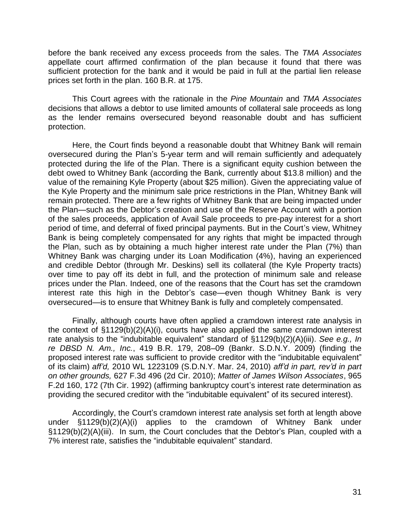before the bank received any excess proceeds from the sales. The *TMA Associates* appellate court affirmed confirmation of the plan because it found that there was sufficient protection for the bank and it would be paid in full at the partial lien release prices set forth in the plan. 160 B.R. at 175.

This Court agrees with the rationale in the *Pine Mountain* and *TMA Associates*  decisions that allows a debtor to use limited amounts of collateral sale proceeds as long as the lender remains oversecured beyond reasonable doubt and has sufficient protection.

Here, the Court finds beyond a reasonable doubt that Whitney Bank will remain oversecured during the Plan's 5-year term and will remain sufficiently and adequately protected during the life of the Plan. There is a significant equity cushion between the debt owed to Whitney Bank (according the Bank, currently about \$13.8 million) and the value of the remaining Kyle Property (about \$25 million). Given the appreciating value of the Kyle Property and the minimum sale price restrictions in the Plan, Whitney Bank will remain protected. There are a few rights of Whitney Bank that are being impacted under the Plan—such as the Debtor's creation and use of the Reserve Account with a portion of the sales proceeds, application of Avail Sale proceeds to pre-pay interest for a short period of time, and deferral of fixed principal payments. But in the Court's view, Whitney Bank is being completely compensated for any rights that might be impacted through the Plan, such as by obtaining a much higher interest rate under the Plan (7%) than Whitney Bank was charging under its Loan Modification (4%), having an experienced and credible Debtor (through Mr. Deskins) sell its collateral (the Kyle Property tracts) over time to pay off its debt in full, and the protection of minimum sale and release prices under the Plan. Indeed, one of the reasons that the Court has set the cramdown interest rate this high in the Debtor's case—even though Whitney Bank is very oversecured—is to ensure that Whitney Bank is fully and completely compensated.

Finally, although courts have often applied a cramdown interest rate analysis in the context of §1129(b)(2)(A)(i), courts have also applied the same cramdown interest rate analysis to the "indubitable equivalent" standard of §1129(b)(2)(A)(iii). *See e.g., In re DBSD N. Am., Inc.*, 419 B.R. 179, 208–09 (Bankr. S.D.N.Y. 2009) (finding the proposed interest rate was sufficient to provide creditor with the "indubitable equivalent" of its claim) *aff'd,* 2010 WL 1223109 (S.D.N.Y. Mar. 24, 2010) *aff'd in part, rev'd in part on other grounds,* 627 F.3d 496 (2d Cir. 2010); *Matter of James Wilson Associates*, 965 F.2d 160, 172 (7th Cir. 1992) (affirming bankruptcy court's interest rate determination as providing the secured creditor with the "indubitable equivalent" of its secured interest).

Accordingly, the Court's cramdown interest rate analysis set forth at length above under §1129(b)(2)(A)(i) applies to the cramdown of Whitney Bank under §1129(b)(2)(A)(iii). In sum, the Court concludes that the Debtor's Plan, coupled with a 7% interest rate, satisfies the "indubitable equivalent" standard.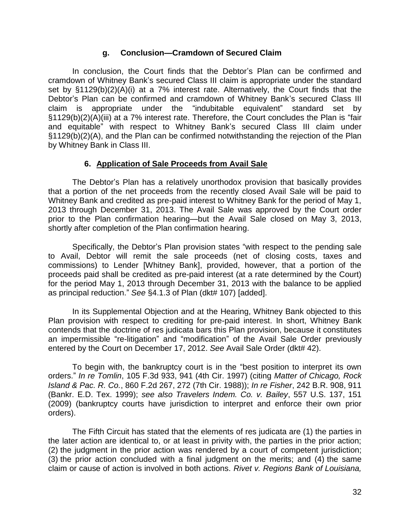#### **g. Conclusion—Cramdown of Secured Claim**

In conclusion, the Court finds that the Debtor's Plan can be confirmed and cramdown of Whitney Bank's secured Class III claim is appropriate under the standard set by §1129(b)(2)(A)(i) at a 7% interest rate. Alternatively, the Court finds that the Debtor's Plan can be confirmed and cramdown of Whitney Bank's secured Class III claim is appropriate under the "indubitable equivalent" standard set by §1129(b)(2)(A)(iii) at a 7% interest rate. Therefore, the Court concludes the Plan is "fair and equitable" with respect to Whitney Bank's secured Class III claim under §1129(b)(2)(A), and the Plan can be confirmed notwithstanding the rejection of the Plan by Whitney Bank in Class III.

### **6. Application of Sale Proceeds from Avail Sale**

The Debtor's Plan has a relatively unorthodox provision that basically provides that a portion of the net proceeds from the recently closed Avail Sale will be paid to Whitney Bank and credited as pre-paid interest to Whitney Bank for the period of May 1, 2013 through December 31, 2013. The Avail Sale was approved by the Court order prior to the Plan confirmation hearing—but the Avail Sale closed on May 3, 2013, shortly after completion of the Plan confirmation hearing.

Specifically, the Debtor's Plan provision states "with respect to the pending sale to Avail, Debtor will remit the sale proceeds (net of closing costs, taxes and commissions) to Lender [Whitney Bank], provided, however, that a portion of the proceeds paid shall be credited as pre-paid interest (at a rate determined by the Court) for the period May 1, 2013 through December 31, 2013 with the balance to be applied as principal reduction." *See* §4.1.3 of Plan (dkt# 107) [added].

In its Supplemental Objection and at the Hearing, Whitney Bank objected to this Plan provision with respect to crediting for pre-paid interest. In short, Whitney Bank contends that the doctrine of res judicata bars this Plan provision, because it constitutes an impermissible "re-litigation" and "modification" of the Avail Sale Order previously entered by the Court on December 17, 2012. *See* Avail Sale Order (dkt# 42).

To begin with, the bankruptcy court is in the "best position to interpret its own orders." *In re Tomlin*, 105 F.3d 933, 941 (4th Cir. 1997) (citing *Matter of Chicago, Rock Island & Pac. R. Co.*, 860 F.2d 267, 272 (7th Cir. 1988)); *In re Fisher*, 242 B.R. 908, 911 (Bankr. E.D. Tex. 1999); *see also Travelers Indem. Co. v. Bailey*, 557 U.S. 137, 151 (2009) (bankruptcy courts have jurisdiction to interpret and enforce their own prior orders).

The Fifth Circuit has stated that the elements of res judicata are (1) the parties in the later action are identical to, or at least in privity with, the parties in the prior action; (2) the judgment in the prior action was rendered by a court of competent jurisdiction; (3) the prior action concluded with a final judgment on the merits; and (4) the same claim or cause of action is involved in both actions. *Rivet v. Regions Bank of Louisiana,*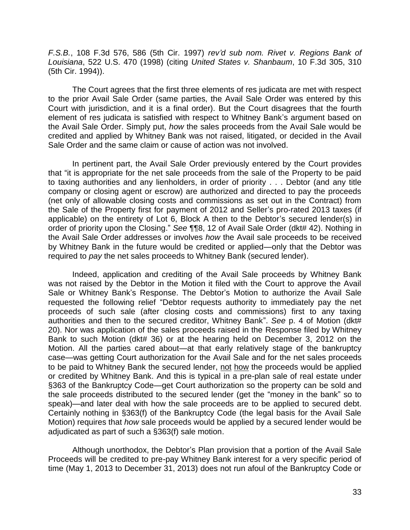*F.S.B.*, 108 F.3d 576, 586 (5th Cir. 1997) *rev'd sub nom. Rivet v. Regions Bank of Louisiana*, 522 U.S. 470 (1998) (citing *United States v. Shanbaum*, 10 F.3d 305, 310 (5th Cir. 1994)).

The Court agrees that the first three elements of res judicata are met with respect to the prior Avail Sale Order (same parties, the Avail Sale Order was entered by this Court with jurisdiction, and it is a final order). But the Court disagrees that the fourth element of res judicata is satisfied with respect to Whitney Bank's argument based on the Avail Sale Order. Simply put, *how* the sales proceeds from the Avail Sale would be credited and applied by Whitney Bank was not raised, litigated, or decided in the Avail Sale Order and the same claim or cause of action was not involved.

In pertinent part, the Avail Sale Order previously entered by the Court provides that "it is appropriate for the net sale proceeds from the sale of the Property to be paid to taxing authorities and any lienholders, in order of priority . . . Debtor (and any title company or closing agent or escrow) are authorized and directed to pay the proceeds (net only of allowable closing costs and commissions as set out in the Contract) from the Sale of the Property first for payment of 2012 and Seller's pro-rated 2013 taxes (if applicable) on the entirety of Lot 6, Block A then to the Debtor's secured lender(s) in order of priority upon the Closing." *See* ¶¶8, 12 of Avail Sale Order (dkt# 42). Nothing in the Avail Sale Order addresses or involves *how* the Avail sale proceeds to be received by Whitney Bank in the future would be credited or applied—only that the Debtor was required to *pay* the net sales proceeds to Whitney Bank (secured lender).

Indeed, application and crediting of the Avail Sale proceeds by Whitney Bank was not raised by the Debtor in the Motion it filed with the Court to approve the Avail Sale or Whitney Bank's Response. The Debtor's Motion to authorize the Avail Sale requested the following relief "Debtor requests authority to immediately pay the net proceeds of such sale (after closing costs and commissions) first to any taxing authorities and then to the secured creditor, Whitney Bank". *See* p. 4 of Motion (dkt# 20). Nor was application of the sales proceeds raised in the Response filed by Whitney Bank to such Motion (dkt# 36) or at the hearing held on December 3, 2012 on the Motion. All the parties cared about—at that early relatively stage of the bankruptcy case—was getting Court authorization for the Avail Sale and for the net sales proceeds to be paid to Whitney Bank the secured lender, not how the proceeds would be applied or credited by Whitney Bank. And this is typical in a pre-plan sale of real estate under §363 of the Bankruptcy Code—get Court authorization so the property can be sold and the sale proceeds distributed to the secured lender (get the "money in the bank" so to speak)—and later deal with how the sale proceeds are to be applied to secured debt. Certainly nothing in §363(f) of the Bankruptcy Code (the legal basis for the Avail Sale Motion) requires that *how* sale proceeds would be applied by a secured lender would be adjudicated as part of such a §363(f) sale motion.

Although unorthodox, the Debtor's Plan provision that a portion of the Avail Sale Proceeds will be credited to pre-pay Whitney Bank interest for a very specific period of time (May 1, 2013 to December 31, 2013) does not run afoul of the Bankruptcy Code or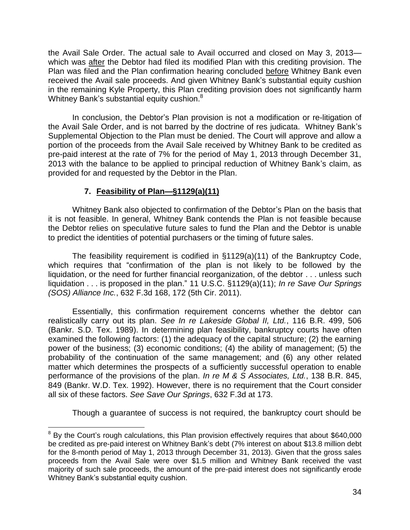the Avail Sale Order. The actual sale to Avail occurred and closed on May 3, 2013 which was after the Debtor had filed its modified Plan with this crediting provision. The Plan was filed and the Plan confirmation hearing concluded before Whitney Bank even received the Avail sale proceeds. And given Whitney Bank's substantial equity cushion in the remaining Kyle Property, this Plan crediting provision does not significantly harm Whitney Bank's substantial equity cushion.<sup>8</sup>

In conclusion, the Debtor's Plan provision is not a modification or re-litigation of the Avail Sale Order, and is not barred by the doctrine of res judicata. Whitney Bank's Supplemental Objection to the Plan must be denied. The Court will approve and allow a portion of the proceeds from the Avail Sale received by Whitney Bank to be credited as pre-paid interest at the rate of 7% for the period of May 1, 2013 through December 31, 2013 with the balance to be applied to principal reduction of Whitney Bank's claim, as provided for and requested by the Debtor in the Plan.

# **7. Feasibility of Plan—§1129(a)(11)**

 $\overline{a}$ 

Whitney Bank also objected to confirmation of the Debtor's Plan on the basis that it is not feasible. In general, Whitney Bank contends the Plan is not feasible because the Debtor relies on speculative future sales to fund the Plan and the Debtor is unable to predict the identities of potential purchasers or the timing of future sales.

The feasibility requirement is codified in §1129(a)(11) of the Bankruptcy Code, which requires that "confirmation of the plan is not likely to be followed by the liquidation, or the need for further financial reorganization, of the debtor . . . unless such liquidation . . . is proposed in the plan." 11 U.S.C. §1129(a)(11); *In re Save Our Springs (SOS) Alliance Inc.*, 632 F.3d 168, 172 (5th Cir. 2011).

Essentially, this confirmation requirement concerns whether the debtor can realistically carry out its plan. *See In re Lakeside Global II, Ltd.*, 116 B.R. 499, 506 (Bankr. S.D. Tex. 1989). In determining plan feasibility, bankruptcy courts have often examined the following factors: (1) the adequacy of the capital structure; (2) the earning power of the business; (3) economic conditions; (4) the ability of management; (5) the probability of the continuation of the same management; and (6) any other related matter which determines the prospects of a sufficiently successful operation to enable performance of the provisions of the plan. *In re M & S Associates, Ltd.*, 138 B.R. 845, 849 (Bankr. W.D. Tex. 1992). However, there is no requirement that the Court consider all six of these factors. *See Save Our Springs*, 632 F.3d at 173.

Though a guarantee of success is not required, the bankruptcy court should be

<sup>&</sup>lt;sup>8</sup> By the Court's rough calculations, this Plan provision effectively requires that about \$640,000 be credited as pre-paid interest on Whitney Bank's debt (7% interest on about \$13.8 million debt for the 8-month period of May 1, 2013 through December 31, 2013). Given that the gross sales proceeds from the Avail Sale were over \$1.5 million and Whitney Bank received the vast majority of such sale proceeds, the amount of the pre-paid interest does not significantly erode Whitney Bank's substantial equity cushion.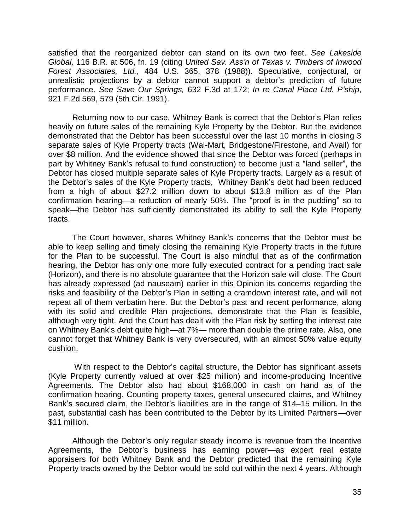satisfied that the reorganized debtor can stand on its own two feet. *See Lakeside Global,* 116 B.R. at 506, fn. 19 (citing *United Sav. Ass'n of Texas v. Timbers of Inwood Forest Associates, Ltd.*, 484 U.S. 365, 378 (1988)). Speculative, conjectural, or unrealistic projections by a debtor cannot support a debtor's prediction of future performance. *See Save Our Springs,* 632 F.3d at 172; *In re Canal Place Ltd. P'ship*, 921 F.2d 569, 579 (5th Cir. 1991).

Returning now to our case, Whitney Bank is correct that the Debtor's Plan relies heavily on future sales of the remaining Kyle Property by the Debtor. But the evidence demonstrated that the Debtor has been successful over the last 10 months in closing 3 separate sales of Kyle Property tracts (Wal-Mart, Bridgestone/Firestone, and Avail) for over \$8 million. And the evidence showed that since the Debtor was forced (perhaps in part by Whitney Bank's refusal to fund construction) to become just a "land seller", the Debtor has closed multiple separate sales of Kyle Property tracts. Largely as a result of the Debtor's sales of the Kyle Property tracts, Whitney Bank's debt had been reduced from a high of about \$27.2 million down to about \$13.8 million as of the Plan confirmation hearing—a reduction of nearly 50%. The "proof is in the pudding" so to speak—the Debtor has sufficiently demonstrated its ability to sell the Kyle Property tracts.

The Court however, shares Whitney Bank's concerns that the Debtor must be able to keep selling and timely closing the remaining Kyle Property tracts in the future for the Plan to be successful. The Court is also mindful that as of the confirmation hearing, the Debtor has only one more fully executed contract for a pending tract sale (Horizon), and there is no absolute guarantee that the Horizon sale will close. The Court has already expressed (ad nauseam) earlier in this Opinion its concerns regarding the risks and feasibility of the Debtor's Plan in setting a cramdown interest rate, and will not repeat all of them verbatim here. But the Debtor's past and recent performance, along with its solid and credible Plan projections, demonstrate that the Plan is feasible, although very tight. And the Court has dealt with the Plan risk by setting the interest rate on Whitney Bank's debt quite high—at 7%— more than double the prime rate. Also, one cannot forget that Whitney Bank is very oversecured, with an almost 50% value equity cushion.

With respect to the Debtor's capital structure, the Debtor has significant assets (Kyle Property currently valued at over \$25 million) and income-producing Incentive Agreements. The Debtor also had about \$168,000 in cash on hand as of the confirmation hearing. Counting property taxes, general unsecured claims, and Whitney Bank's secured claim, the Debtor's liabilities are in the range of \$14–15 million. In the past, substantial cash has been contributed to the Debtor by its Limited Partners—over \$11 million.

Although the Debtor's only regular steady income is revenue from the Incentive Agreements, the Debtor's business has earning power—as expert real estate appraisers for both Whitney Bank and the Debtor predicted that the remaining Kyle Property tracts owned by the Debtor would be sold out within the next 4 years. Although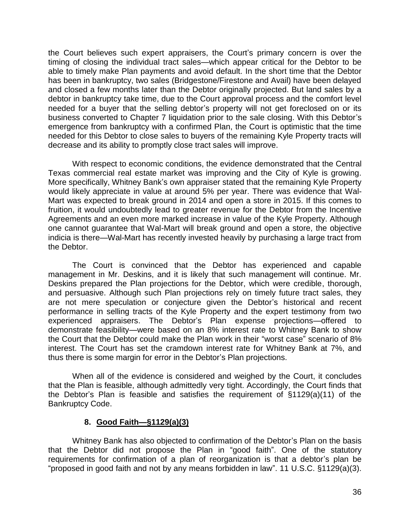the Court believes such expert appraisers, the Court's primary concern is over the timing of closing the individual tract sales—which appear critical for the Debtor to be able to timely make Plan payments and avoid default. In the short time that the Debtor has been in bankruptcy, two sales (Bridgestone/Firestone and Avail) have been delayed and closed a few months later than the Debtor originally projected. But land sales by a debtor in bankruptcy take time, due to the Court approval process and the comfort level needed for a buyer that the selling debtor's property will not get foreclosed on or its business converted to Chapter 7 liquidation prior to the sale closing. With this Debtor's emergence from bankruptcy with a confirmed Plan, the Court is optimistic that the time needed for this Debtor to close sales to buyers of the remaining Kyle Property tracts will decrease and its ability to promptly close tract sales will improve.

With respect to economic conditions, the evidence demonstrated that the Central Texas commercial real estate market was improving and the City of Kyle is growing. More specifically, Whitney Bank's own appraiser stated that the remaining Kyle Property would likely appreciate in value at around 5% per year. There was evidence that Wal-Mart was expected to break ground in 2014 and open a store in 2015. If this comes to fruition, it would undoubtedly lead to greater revenue for the Debtor from the Incentive Agreements and an even more marked increase in value of the Kyle Property. Although one cannot guarantee that Wal-Mart will break ground and open a store, the objective indicia is there—Wal-Mart has recently invested heavily by purchasing a large tract from the Debtor.

The Court is convinced that the Debtor has experienced and capable management in Mr. Deskins, and it is likely that such management will continue. Mr. Deskins prepared the Plan projections for the Debtor, which were credible, thorough, and persuasive. Although such Plan projections rely on timely future tract sales, they are not mere speculation or conjecture given the Debtor's historical and recent performance in selling tracts of the Kyle Property and the expert testimony from two experienced appraisers. The Debtor's Plan expense projections—offered to demonstrate feasibility—were based on an 8% interest rate to Whitney Bank to show the Court that the Debtor could make the Plan work in their "worst case" scenario of 8% interest. The Court has set the cramdown interest rate for Whitney Bank at 7%, and thus there is some margin for error in the Debtor's Plan projections.

When all of the evidence is considered and weighed by the Court, it concludes that the Plan is feasible, although admittedly very tight. Accordingly, the Court finds that the Debtor's Plan is feasible and satisfies the requirement of §1129(a)(11) of the Bankruptcy Code.

### **8. Good Faith—§1129(a)(3)**

Whitney Bank has also objected to confirmation of the Debtor's Plan on the basis that the Debtor did not propose the Plan in "good faith". One of the statutory requirements for confirmation of a plan of reorganization is that a debtor's plan be "proposed in good faith and not by any means forbidden in law". 11 U.S.C. §1129(a)(3).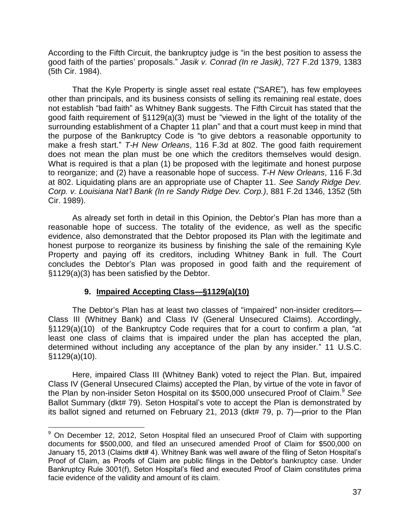According to the Fifth Circuit, the bankruptcy judge is "in the best position to assess the good faith of the parties' proposals." *Jasik v. Conrad (In re Jasik)*, 727 F.2d 1379, 1383 (5th Cir. 1984).

That the Kyle Property is single asset real estate ("SARE"), has few employees other than principals, and its business consists of selling its remaining real estate, does not establish "bad faith" as Whitney Bank suggests. The Fifth Circuit has stated that the good faith requirement of §1129(a)(3) must be "viewed in the light of the totality of the surrounding establishment of a Chapter 11 plan" and that a court must keep in mind that the purpose of the Bankruptcy Code is "to give debtors a reasonable opportunity to make a fresh start." *T-H New Orleans*, 116 F.3d at 802. The good faith requirement does not mean the plan must be one which the creditors themselves would design. What is required is that a plan (1) be proposed with the legitimate and honest purpose to reorganize; and (2) have a reasonable hope of success. *T-H New Orleans*, 116 F.3d at 802. Liquidating plans are an appropriate use of Chapter 11. *See Sandy Ridge Dev. Corp. v. Louisiana Nat'l Bank (In re Sandy Ridge Dev. Corp.)*, 881 F.2d 1346, 1352 (5th Cir. 1989).

As already set forth in detail in this Opinion, the Debtor's Plan has more than a reasonable hope of success. The totality of the evidence, as well as the specific evidence, also demonstrated that the Debtor proposed its Plan with the legitimate and honest purpose to reorganize its business by finishing the sale of the remaining Kyle Property and paying off its creditors, including Whitney Bank in full. The Court concludes the Debtor's Plan was proposed in good faith and the requirement of §1129(a)(3) has been satisfied by the Debtor.

### **9. Impaired Accepting Class—§1129(a)(10)**

 $\overline{a}$ 

The Debtor's Plan has at least two classes of "impaired" non-insider creditors— Class III (Whitney Bank) and Class IV (General Unsecured Claims). Accordingly, §1129(a)(10) of the Bankruptcy Code requires that for a court to confirm a plan, "at least one class of claims that is impaired under the plan has accepted the plan, determined without including any acceptance of the plan by any insider." 11 U.S.C. §1129(a)(10).

Here, impaired Class III (Whitney Bank) voted to reject the Plan. But, impaired Class IV (General Unsecured Claims) accepted the Plan, by virtue of the vote in favor of the Plan by non-insider Seton Hospital on its \$500,000 unsecured Proof of Claim.<sup>9</sup> See Ballot Summary (dkt# 79). Seton Hospital's vote to accept the Plan is demonstrated by its ballot signed and returned on February 21, 2013 (dkt# 79, p. 7)—prior to the Plan

<sup>&</sup>lt;sup>9</sup> On December 12, 2012, Seton Hospital filed an unsecured Proof of Claim with supporting documents for \$500,000, and filed an unsecured amended Proof of Claim for \$500,000 on January 15, 2013 (Claims dkt# 4). Whitney Bank was well aware of the filing of Seton Hospital's Proof of Claim, as Proofs of Claim are public filings in the Debtor's bankruptcy case. Under Bankruptcy Rule 3001(f), Seton Hospital's filed and executed Proof of Claim constitutes prima facie evidence of the validity and amount of its claim.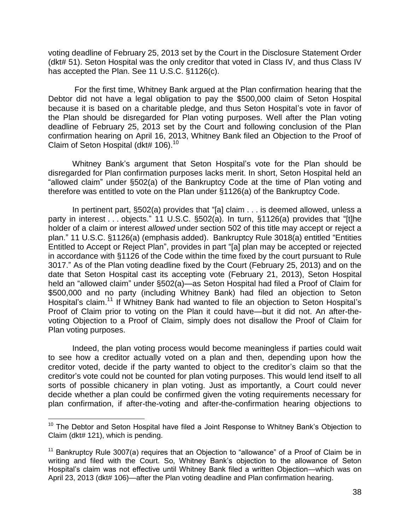voting deadline of February 25, 2013 set by the Court in the Disclosure Statement Order (dkt# 51). Seton Hospital was the only creditor that voted in Class IV, and thus Class IV has accepted the Plan. See 11 U.S.C. §1126(c).

For the first time, Whitney Bank argued at the Plan confirmation hearing that the Debtor did not have a legal obligation to pay the \$500,000 claim of Seton Hospital because it is based on a charitable pledge, and thus Seton Hospital's vote in favor of the Plan should be disregarded for Plan voting purposes. Well after the Plan voting deadline of February 25, 2013 set by the Court and following conclusion of the Plan confirmation hearing on April 16, 2013, Whitney Bank filed an Objection to the Proof of Claim of Seton Hospital (dkt# 106).<sup>10</sup>

Whitney Bank's argument that Seton Hospital's vote for the Plan should be disregarded for Plan confirmation purposes lacks merit. In short, Seton Hospital held an "allowed claim" under §502(a) of the Bankruptcy Code at the time of Plan voting and therefore was entitled to vote on the Plan under §1126(a) of the Bankruptcy Code.

In pertinent part, §502(a) provides that "[a] claim . . . is deemed allowed, unless a party in interest . . . objects." 11 U.S.C. §502(a). In turn, §1126(a) provides that "[t]he holder of a claim or interest *allowed* under section 502 of this title may accept or reject a plan." 11 U.S.C. §1126(a) (emphasis added). Bankruptcy Rule 3018(a) entitled "Entities Entitled to Accept or Reject Plan", provides in part "[a] plan may be accepted or rejected in accordance with §1126 of the Code within the time fixed by the court pursuant to Rule 3017." As of the Plan voting deadline fixed by the Court (February 25, 2013) and on the date that Seton Hospital cast its accepting vote (February 21, 2013), Seton Hospital held an "allowed claim" under §502(a)—as Seton Hospital had filed a Proof of Claim for \$500,000 and no party (including Whitney Bank) had filed an objection to Seton Hospital's claim.<sup>11</sup> If Whitney Bank had wanted to file an objection to Seton Hospital's Proof of Claim prior to voting on the Plan it could have—but it did not. An after-thevoting Objection to a Proof of Claim, simply does not disallow the Proof of Claim for Plan voting purposes.

Indeed, the plan voting process would become meaningless if parties could wait to see how a creditor actually voted on a plan and then, depending upon how the creditor voted, decide if the party wanted to object to the creditor's claim so that the creditor's vote could not be counted for plan voting purposes. This would lend itself to all sorts of possible chicanery in plan voting. Just as importantly, a Court could never decide whether a plan could be confirmed given the voting requirements necessary for plan confirmation, if after-the-voting and after-the-confirmation hearing objections to

 $\overline{a}$ 

<sup>&</sup>lt;sup>10</sup> The Debtor and Seton Hospital have filed a Joint Response to Whitney Bank's Objection to Claim (dkt# 121), which is pending.

<sup>&</sup>lt;sup>11</sup> Bankruptcy Rule 3007(a) requires that an Objection to "allowance" of a Proof of Claim be in writing and filed with the Court. So, Whitney Bank's objection to the allowance of Seton Hospital's claim was not effective until Whitney Bank filed a written Objection—which was on April 23, 2013 (dkt# 106)—after the Plan voting deadline and Plan confirmation hearing.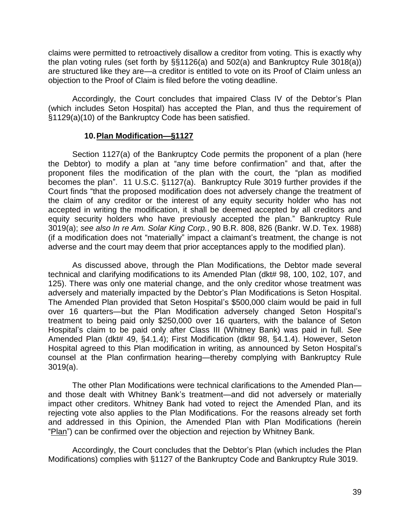claims were permitted to retroactively disallow a creditor from voting. This is exactly why the plan voting rules (set forth by §§1126(a) and 502(a) and Bankruptcy Rule 3018(a)) are structured like they are—a creditor is entitled to vote on its Proof of Claim unless an objection to the Proof of Claim is filed before the voting deadline.

Accordingly, the Court concludes that impaired Class IV of the Debtor's Plan (which includes Seton Hospital) has accepted the Plan, and thus the requirement of §1129(a)(10) of the Bankruptcy Code has been satisfied.

#### **10.Plan Modification—§1127**

Section 1127(a) of the Bankruptcy Code permits the proponent of a plan (here the Debtor) to modify a plan at "any time before confirmation" and that, after the proponent files the modification of the plan with the court, the "plan as modified becomes the plan". 11 U.S.C. §1127(a). Bankruptcy Rule 3019 further provides if the Court finds "that the proposed modification does not adversely change the treatment of the claim of any creditor or the interest of any equity security holder who has not accepted in writing the modification, it shall be deemed accepted by all creditors and equity security holders who have previously accepted the plan." Bankruptcy Rule 3019(a); *see also In re Am. Solar King Corp.*, 90 B.R. 808, 826 (Bankr. W.D. Tex. 1988) (if a modification does not "materially" impact a claimant's treatment, the change is not adverse and the court may deem that prior acceptances apply to the modified plan).

As discussed above, through the Plan Modifications, the Debtor made several technical and clarifying modifications to its Amended Plan (dkt# 98, 100, 102, 107, and 125). There was only one material change, and the only creditor whose treatment was adversely and materially impacted by the Debtor's Plan Modifications is Seton Hospital. The Amended Plan provided that Seton Hospital's \$500,000 claim would be paid in full over 16 quarters—but the Plan Modification adversely changed Seton Hospital's treatment to being paid only \$250,000 over 16 quarters, with the balance of Seton Hospital's claim to be paid only after Class III (Whitney Bank) was paid in full. *See* Amended Plan (dkt# 49, §4.1.4); First Modification (dkt# 98, §4.1.4). However, Seton Hospital agreed to this Plan modification in writing, as announced by Seton Hospital's counsel at the Plan confirmation hearing—thereby complying with Bankruptcy Rule 3019(a).

The other Plan Modifications were technical clarifications to the Amended Plan and those dealt with Whitney Bank's treatment—and did not adversely or materially impact other creditors. Whitney Bank had voted to reject the Amended Plan, and its rejecting vote also applies to the Plan Modifications. For the reasons already set forth and addressed in this Opinion, the Amended Plan with Plan Modifications (herein "Plan") can be confirmed over the objection and rejection by Whitney Bank.

Accordingly, the Court concludes that the Debtor's Plan (which includes the Plan Modifications) complies with §1127 of the Bankruptcy Code and Bankruptcy Rule 3019.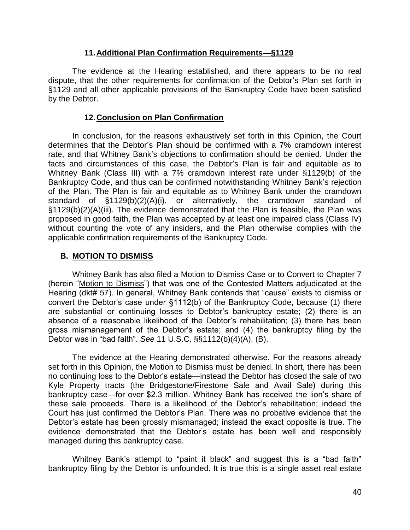### **11.Additional Plan Confirmation Requirements—§1129**

The evidence at the Hearing established, and there appears to be no real dispute, that the other requirements for confirmation of the Debtor's Plan set forth in §1129 and all other applicable provisions of the Bankruptcy Code have been satisfied by the Debtor.

#### **12.Conclusion on Plan Confirmation**

In conclusion, for the reasons exhaustively set forth in this Opinion, the Court determines that the Debtor's Plan should be confirmed with a 7% cramdown interest rate, and that Whitney Bank's objections to confirmation should be denied. Under the facts and circumstances of this case, the Debtor's Plan is fair and equitable as to Whitney Bank (Class III) with a 7% cramdown interest rate under §1129(b) of the Bankruptcy Code, and thus can be confirmed notwithstanding Whitney Bank's rejection of the Plan. The Plan is fair and equitable as to Whitney Bank under the cramdown standard of §1129(b)(2)(A)(i), or alternatively, the cramdown standard of §1129(b)(2)(A)(iii). The evidence demonstrated that the Plan is feasible, the Plan was proposed in good faith, the Plan was accepted by at least one impaired class (Class IV) without counting the vote of any insiders, and the Plan otherwise complies with the applicable confirmation requirements of the Bankruptcy Code.

#### **B. MOTION TO DISMISS**

Whitney Bank has also filed a Motion to Dismiss Case or to Convert to Chapter 7 (herein "Motion to Dismiss") that was one of the Contested Matters adjudicated at the Hearing (dkt# 57). In general, Whitney Bank contends that "cause" exists to dismiss or convert the Debtor's case under §1112(b) of the Bankruptcy Code, because (1) there are substantial or continuing losses to Debtor's bankruptcy estate; (2) there is an absence of a reasonable likelihood of the Debtor's rehabilitation; (3) there has been gross mismanagement of the Debtor's estate; and (4) the bankruptcy filing by the Debtor was in "bad faith". *See* 11 U.S.C. §§1112(b)(4)(A), (B).

The evidence at the Hearing demonstrated otherwise. For the reasons already set forth in this Opinion, the Motion to Dismiss must be denied. In short, there has been no continuing loss to the Debtor's estate—instead the Debtor has closed the sale of two Kyle Property tracts (the Bridgestone/Firestone Sale and Avail Sale) during this bankruptcy case—for over \$2.3 million. Whitney Bank has received the lion's share of these sale proceeds. There is a likelihood of the Debtor's rehabilitation; indeed the Court has just confirmed the Debtor's Plan. There was no probative evidence that the Debtor's estate has been grossly mismanaged; instead the exact opposite is true. The evidence demonstrated that the Debtor's estate has been well and responsibly managed during this bankruptcy case.

Whitney Bank's attempt to "paint it black" and suggest this is a "bad faith" bankruptcy filing by the Debtor is unfounded. It is true this is a single asset real estate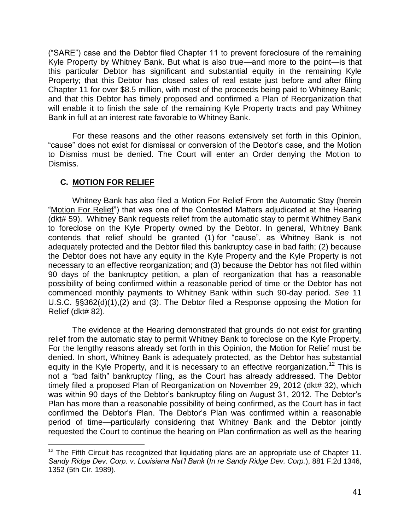("SARE") case and the Debtor filed Chapter 11 to prevent foreclosure of the remaining Kyle Property by Whitney Bank. But what is also true—and more to the point—is that this particular Debtor has significant and substantial equity in the remaining Kyle Property; that this Debtor has closed sales of real estate just before and after filing Chapter 11 for over \$8.5 million, with most of the proceeds being paid to Whitney Bank; and that this Debtor has timely proposed and confirmed a Plan of Reorganization that will enable it to finish the sale of the remaining Kyle Property tracts and pay Whitney Bank in full at an interest rate favorable to Whitney Bank.

For these reasons and the other reasons extensively set forth in this Opinion, "cause" does not exist for dismissal or conversion of the Debtor's case, and the Motion to Dismiss must be denied. The Court will enter an Order denying the Motion to Dismiss.

## **C. MOTION FOR RELIEF**

 $\overline{a}$ 

Whitney Bank has also filed a Motion For Relief From the Automatic Stay (herein "Motion For Relief") that was one of the Contested Matters adjudicated at the Hearing (dkt# 59). Whitney Bank requests relief from the automatic stay to permit Whitney Bank to foreclose on the Kyle Property owned by the Debtor. In general, Whitney Bank contends that relief should be granted (1) for "cause", as Whitney Bank is not adequately protected and the Debtor filed this bankruptcy case in bad faith; (2) because the Debtor does not have any equity in the Kyle Property and the Kyle Property is not necessary to an effective reorganization; and (3) because the Debtor has not filed within 90 days of the bankruptcy petition, a plan of reorganization that has a reasonable possibility of being confirmed within a reasonable period of time or the Debtor has not commenced monthly payments to Whitney Bank within such 90-day period. *See* 11 U.S.C. §§362(d)(1),(2) and (3). The Debtor filed a Response opposing the Motion for Relief (dkt# 82).

The evidence at the Hearing demonstrated that grounds do not exist for granting relief from the automatic stay to permit Whitney Bank to foreclose on the Kyle Property. For the lengthy reasons already set forth in this Opinion, the Motion for Relief must be denied. In short, Whitney Bank is adequately protected, as the Debtor has substantial equity in the Kyle Property, and it is necessary to an effective reorganization.<sup>12</sup> This is not a "bad faith" bankruptcy filing, as the Court has already addressed. The Debtor timely filed a proposed Plan of Reorganization on November 29, 2012 (dkt# 32), which was within 90 days of the Debtor's bankruptcy filing on August 31, 2012. The Debtor's Plan has more than a reasonable possibility of being confirmed, as the Court has in fact confirmed the Debtor's Plan. The Debtor's Plan was confirmed within a reasonable period of time—particularly considering that Whitney Bank and the Debtor jointly requested the Court to continue the hearing on Plan confirmation as well as the hearing

 $12$  The Fifth Circuit has recognized that liquidating plans are an appropriate use of Chapter 11. *Sandy Ridge Dev. Corp. v. Louisiana Nat'l Bank* (*In re Sandy Ridge Dev. Corp.*), 881 F.2d 1346, 1352 (5th Cir. 1989).